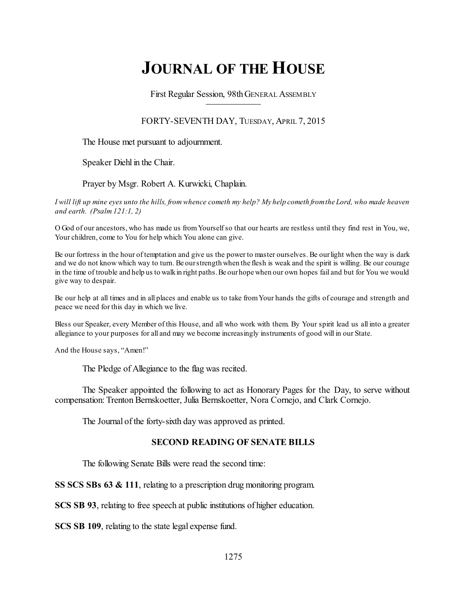# **JOURNAL OF THE HOUSE**

First Regular Session, 98thGENERAL ASSEMBLY

# FORTY-SEVENTH DAY, TUESDAY, APRIL 7, 2015

The House met pursuant to adjournment.

Speaker Diehl in the Chair.

Prayer by Msgr. Robert A. Kurwicki, Chaplain.

I will lift up mine eyes unto the hills, from whence cometh my help? My help cometh from the Lord, who made heaven *and earth. (Psalm 121:1, 2)*

O God of our ancestors, who has made us fromYourselfso that our hearts are restless until they find rest in You, we, Your children, come to You for help which You alone can give.

Be our fortress in the hour of temptation and give us the power to master ourselves. Be ourlight when the way is dark and we do not know which way to turn. Be ourstrength when the flesh is weak and the spirit is willing. Be our courage in the time of trouble and help us to walk in right paths. Be our hope when our own hopes fail and but for You we would give way to despair.

Be our help at all times and in all places and enable us to take fromYour hands the gifts of courage and strength and peace we need for this day in which we live.

Bless our Speaker, every Member of this House, and all who work with them. By Your spirit lead us all into a greater allegiance to your purposes for all and may we become increasingly instruments of good will in our State.

And the House says, "Amen!"

The Pledge of Allegiance to the flag was recited.

The Speaker appointed the following to act as Honorary Pages for the Day, to serve without compensation: Trenton Bernskoetter, Julia Bernskoetter, Nora Cornejo, and Clark Cornejo.

The Journal of the forty-sixth day was approved as printed.

# **SECOND READING OF SENATE BILLS**

The following Senate Bills were read the second time:

**SS SCS SBs 63 & 111**, relating to a prescription drug monitoring program.

**SCS SB 93**, relating to free speech at public institutions of higher education.

**SCS SB 109**, relating to the state legal expense fund.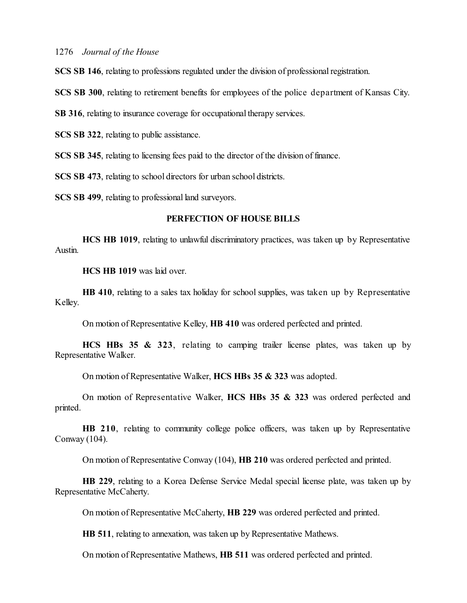**SCS SB 146**, relating to professions regulated under the division of professional registration.

**SCS SB 300**, relating to retirement benefits for employees of the police department of Kansas City.

**SB 316**, relating to insurance coverage for occupational therapy services.

**SCS SB 322**, relating to public assistance.

**SCS SB 345**, relating to licensing fees paid to the director of the division of finance.

**SCS SB 473**, relating to school directors for urban school districts.

**SCS SB 499**, relating to professional land surveyors.

# **PERFECTION OF HOUSE BILLS**

**HCS HB** 1019, relating to unlawful discriminatory practices, was taken up by Representative Austin.

**HCS HB 1019** was laid over.

**HB 410**, relating to a sales tax holiday for school supplies, was taken up by Representative Kelley.

On motion of Representative Kelley, **HB 410** was ordered perfected and printed.

**HCS HBs 35 & 323**, relating to camping trailer license plates, was taken up by Representative Walker.

On motion of Representative Walker, **HCS HBs 35 & 323** was adopted.

On motion of Representative Walker, **HCS HBs 35 & 323** was ordered perfected and printed.

**HB 210**, relating to community college police officers, was taken up by Representative Conway (104).

On motion of Representative Conway (104), **HB 210** was ordered perfected and printed.

**HB 229**, relating to a Korea Defense Service Medal special license plate, was taken up by Representative McCaherty.

On motion of Representative McCaherty, **HB 229** was ordered perfected and printed.

**HB 511**, relating to annexation, was taken up by Representative Mathews.

On motion of Representative Mathews, **HB 511** was ordered perfected and printed.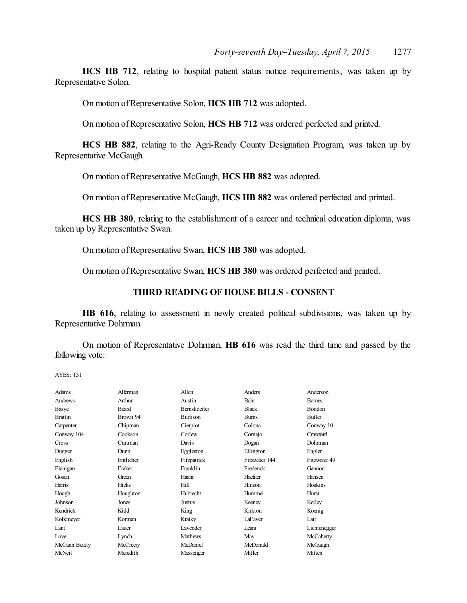**HCS HB 712**, relating to hospital patient status notice requirements, was taken up by Representative Solon.

On motion of Representative Solon, **HCS HB 712** was adopted.

On motion of Representative Solon, **HCS HB 712** was ordered perfected and printed.

**HCS HB 882**, relating to the Agri-Ready County Designation Program, was taken up by Representative McGaugh.

On motion of Representative McGaugh, **HCS HB 882** was adopted.

On motion of Representative McGaugh, **HCS HB 882** was ordered perfected and printed.

**HCS HB 380**, relating to the establishment of a career and technical education diploma, was taken up by Representative Swan.

On motion of Representative Swan, **HCS HB 380** was adopted.

On motion of Representative Swan, **HCS HB 380** was ordered perfected and printed.

### **THIRD READING OF HOUSE BILLS - CONSENT**

**HB 616**, relating to assessment in newly created political subdivisions, was taken up by Representative Dohrman.

On motion of Representative Dohrman, **HB 616** was read the third time and passed by the following vote:

| Adams          | Alferman  | Allen           | Anders        | Anderson      |
|----------------|-----------|-----------------|---------------|---------------|
| Andrews        | Arthur    | Austin          | Bahr          | <b>Barnes</b> |
| Basye          | Beard     | Bernskoetter    | <b>Black</b>  | <b>Bondon</b> |
| <b>Brattin</b> | Brown 94  | <b>Burlison</b> | <b>Burns</b>  | Butler        |
| Carpenter      | Chipman   | Cierpiot        | Colona        | Conway 10     |
| Conway 104     | Cookson   | Corlew          | Comejo        | Crawford      |
| Cross          | Curtman   | Davis           | Dogan         | Dohrman       |
| Dugger         | Dunn      | Eggleston       | Ellington     | Engler        |
| English        | Entlicher | Fitzpatrick     | Fitzwater 144 | Fitzwater 49  |
| Flanigan       | Fraker    | Franklin        | Frederick     | Gannon        |
| Gosen          | Green     | Haahr           | Haefner       | Hansen        |
| Harris         | Hicks     | Hill            | Hinson        | Hoskins       |
| Hough          | Houghton  | Hubrecht        | Hummel        | Hurst         |
| Johnson        | Jones     | Justus          | Keeney        | Kelley        |
| Kendrick       | Kidd      | King            | Kirkton       | Koenig        |
| Kolkmeyer      | Korman    | Kratky          | LaFaver       | Lair          |
| Lant           | Lauer     | Lavender        | Leara         | Lichtenegger  |
| Love           | Lynch     | <b>Mathews</b>  | May           | McCaherty     |
| McCann Beatty  | McCreery  | McDaniel        | McDonald      | McGaugh       |
| McNeil         | Meredith  | Messenger       | Miller        | Mitten        |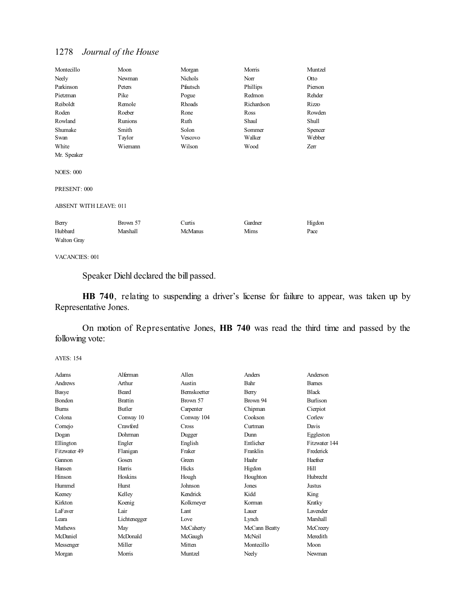| Montecillo                    | Moon     | Morgan         | Morris<br>Muntzel |         |
|-------------------------------|----------|----------------|-------------------|---------|
| Neely                         | Newman   | Nichols        | Norr              |         |
| Parkinson                     | Peters   | Pfautsch       | Phillips          | Pierson |
| Pietzman                      | Pike     | Pogue          | Redmon            | Rehder  |
| Reiboldt                      | Remole   | Rhoads         | Richardson        | Rizzo   |
| Roden                         | Roeber   | Rone           | Ross              | Rowden  |
| Rowland                       | Runions  | Ruth           | Shaul             | Shull   |
| Shumake                       | Smith    | Solon          | Sommer            | Spencer |
| Swan                          | Taylor   | Vescovo        | Walker            | Webber  |
| White                         | Wiemann  | Wilson         | Wood              | Zerr    |
| Mr. Speaker                   |          |                |                   |         |
|                               |          |                |                   |         |
| <b>NOES: 000</b>              |          |                |                   |         |
|                               |          |                |                   |         |
| PRESENT: 000                  |          |                |                   |         |
|                               |          |                |                   |         |
| <b>ABSENT WITH LEAVE: 011</b> |          |                |                   |         |
|                               |          |                |                   |         |
| Berry                         | Brown 57 | Curtis         | Gardner           | Higdon  |
| Hubbard                       | Marshall | <b>McManus</b> | Mims              | Pace    |
| <b>Walton Gray</b>            |          |                |                   |         |

# VACANCIES: 001

Speaker Diehl declared the bill passed.

**HB 740**, relating to suspending a driver's license for failure to appear, was taken up by Representative Jones.

On motion of Representative Jones, **HB 740** was read the third time and passed by the following vote:

| Adams          | Alferman       | Allen               | Anders        | Anderson        |
|----------------|----------------|---------------------|---------------|-----------------|
| Andrews        | Arthur         | Austin              | Bahr          | <b>Bames</b>    |
| Basye          | <b>Beard</b>   | <b>Bernskoetter</b> | Berry         | <b>Black</b>    |
| <b>Bondon</b>  | <b>Brattin</b> | Brown 57            | Brown 94      | <b>Burlison</b> |
| <b>Burns</b>   | <b>Butler</b>  | Carpenter           | Chipman       | Cierpiot        |
| Colona         | Conway 10      | Conway 104          | Cookson       | Corlew          |
| Comejo         | Crawford       | Cross               | Curtman       | Davis           |
| Dogan          | Dohrman        | Dugger              | Dunn          | Eggleston       |
| Ellington      | Engler         | English             | Entlicher     | Fitzwater 144   |
| Fitzwater 49   | Flanigan       | Fraker              | Franklin      | Frederick       |
| Gannon         | Gosen          | Green               | Haahr         | Haefner         |
| Hansen         | Harris         | Hicks               | Higdon        | Hill            |
| Hinson         | Hoskins        | Hough               | Houghton      | Hubrecht        |
| Hummel         | <b>Hurst</b>   | Johnson             | Jones         | Justus          |
| Keeney         | Kelley         | Kendrick            | Kidd          | King            |
| Kirkton        | Koenig         | Kolkmeyer           | Korman        | Kratky          |
| LaFaver        | Lair           | Lant                | Lauer         | I avender       |
| Leara          | Lichtenegger   | Love                | Lynch         | Marshall        |
| <b>Mathews</b> | May            | McCaherty           | McCann Beatty | McCreery        |
| McDaniel       | McDonald       | McGaugh             | McNeil        | Meredith        |
| Messenger      | Miller         | Mitten              | Montecillo    | Moon            |
| Morgan         | Morris         | Muntzel             | Neely         | Newman          |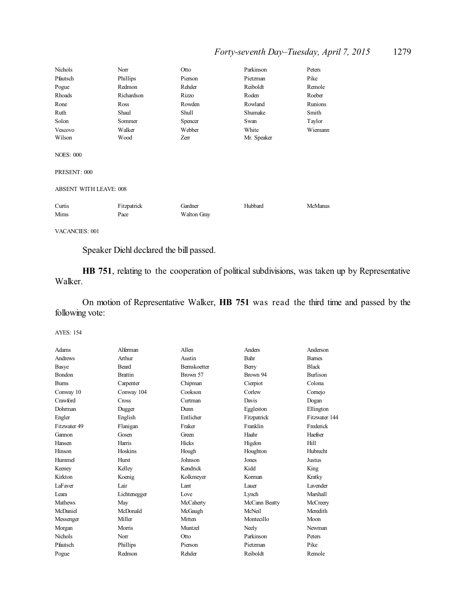# *Forty-seventh Day–Tuesday, April 7, 2015* 1279

| Nichols                       | Norr        | Otto               | Parkinson   | Peters         |
|-------------------------------|-------------|--------------------|-------------|----------------|
| Pfautsch                      | Phillips    | Pierson            | Pietzman    | Pike           |
| Pogue                         | Redmon      | Rehder             | Reiboldt    | Remole         |
| Rhoads                        | Richardson  | Rizzo              | Roden       | Roeber         |
| Rone                          | Ross        | Rowden             | Rowland     | Runions        |
| Ruth                          | Shaul       | Shull              | Shumake     | Smith          |
| Solon                         | Sommer      | Spencer            | Swan        | Taylor         |
| Vescovo                       | Walker      | Webber             | White       | Wiemann        |
| Wilson                        | Wood        | Zerr               | Mr. Speaker |                |
| <b>NOES: 000</b>              |             |                    |             |                |
| PRESENT: 000                  |             |                    |             |                |
| <b>ABSENT WITH LEAVE: 008</b> |             |                    |             |                |
| Curtis                        | Fitzpatrick | Gardner            | Hubbard     | <b>McManus</b> |
| Mims                          | Pace        | <b>Walton Gray</b> |             |                |
|                               |             |                    |             |                |

VACANCIES: 001

Speaker Diehl declared the bill passed.

**HB 751**, relating to the cooperation of political subdivisions, was taken up by Representative Walker.

On motion of Representative Walker, **HB 751** was read the third time and passed by the following vote:

| Adams          | Alferman       | Allen               | Anders        | Anderson        |
|----------------|----------------|---------------------|---------------|-----------------|
| Andrews        | Arthur         | Austin              | Bahr          | <b>Bames</b>    |
| Basye          | <b>Beard</b>   | <b>Bernskoetter</b> | Berry         | <b>Black</b>    |
| Bondon         | <b>Brattin</b> | Brown 57            | Brown 94      | <b>Burlison</b> |
| <b>Burns</b>   | Carpenter      | Chipman             | Cierpiot      | Colona          |
| Conway 10      | Conway 104     | Cookson             | Corlew        | Comejo          |
| Crawford       | Cross          | Curtman             | Davis         | Dogan           |
| Dohrman        | Dugger         | Dunn                | Eggleston     | Ellington       |
| Engler         | English        | Entlicher           | Fitzpatrick   | Fitzwater 144   |
| Fitzwater 49   | Flanigan       | Fraker              | Franklin      | Frederick       |
| Gannon         | Gosen          | Green               | Haahr         | Haefner         |
| Hansen         | Harris         | <b>Hicks</b>        | Higdon        | Hill            |
| Hinson         | Hoskins        | Hough               | Houghton      | Hubrecht        |
| Hummel         | Hurst          | Johnson             | Jones         | Justus          |
| Keeney         | Kelley         | Kendrick            | Kidd          | King            |
| Kirkton        | Koenig         | Kolkmeyer           | Korman        | Kratky          |
| <b>LaFaver</b> | Lair           | Lant                | Lauer         | <b>Lavender</b> |
| Leara          | Lichtenegger   | Love                | Lynch         | Marshall        |
| <b>Mathews</b> | May            | McCaherty           | McCann Beatty | McCreery        |
| McDaniel       | McDonald       | McGaugh             | McNeil        | Meredith        |
| Messenger      | Miller         | Mitten              | Montecillo    | Moon            |
| Morgan         | Morris         | Muntzel             | Neely         | Newman          |
| <b>Nichols</b> | Norr           | Otto                | Parkinson     | Peters          |
| Pfautsch       | Phillips       | Pierson             | Pietzman      | Pike            |
| Pogue          | Redmon         | Rehder              | Reiboldt      | Remole          |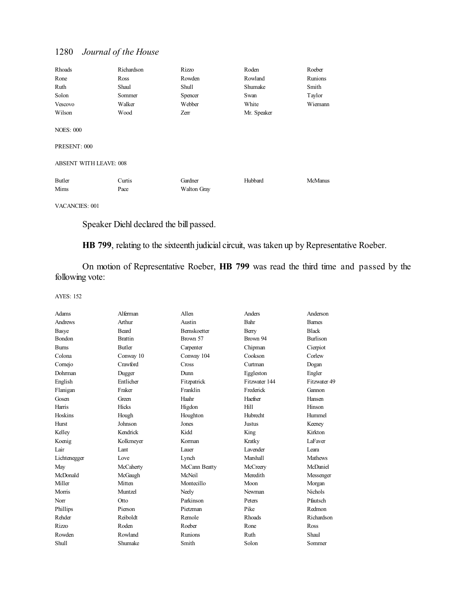| Rhoads                        | Richardson | Rizzo              | Roden       | Roeber  |
|-------------------------------|------------|--------------------|-------------|---------|
| Rone                          | Ross       | Rowden             | Rowland     | Runions |
| Ruth                          | Shaul      | Shull              | Shumake     | Smith   |
| Solon                         | Sommer     | Spencer            | Swan        | Taylor  |
| Vescovo                       | Walker     | Webber             | White       | Wiemann |
| Wilson                        | Wood       | Zerr               | Mr. Speaker |         |
| <b>NOES: 000</b>              |            |                    |             |         |
| PRESENT: 000                  |            |                    |             |         |
| <b>ABSENT WITH LEAVE: 008</b> |            |                    |             |         |
| Butler                        | Curtis     | Gardner            | Hubbard     | McManus |
| Mims                          | Pace       | <b>Walton Gray</b> |             |         |

# VACANCIES: 001

Speaker Diehl declared the bill passed.

**HB 799**, relating to the sixteenth judicial circuit, was taken up by Representative Roeber.

On motion of Representative Roeber, **HB 799** was read the third time and passed by the following vote:

| Adams          | Alferman       | Allen               | Anders          | Anderson        |
|----------------|----------------|---------------------|-----------------|-----------------|
| <b>Andrews</b> | Arthur         | Austin              | Bahr            | <b>Barnes</b>   |
| <b>Basye</b>   | <b>Beard</b>   | <b>Bernskoetter</b> | Berry           | <b>Black</b>    |
| Bondon         | <b>Brattin</b> | Brown 57            | Brown 94        | <b>Burlison</b> |
| <b>Burns</b>   | Butler         | Carpenter           | Chipman         | Cierpiot        |
| Colona         | Conway 10      | Conway 104          | Cookson         | Corlew          |
| Cornejo        | Crawford       | Cross               | Curtman         | Dogan           |
| Dohrman        | Dugger         | Dunn                | Eggleston       | Engler          |
| English        | Entlicher      | Fitzpatrick         | Fitzwater 144   | Fitzwater 49    |
| Flanigan       | Fraker         | Franklin            | Frederick       | Gannon          |
| Gosen          | Green          | Haahr               | Haefner         | Hansen          |
| Harris         | Hicks          | Higdon              | Hill            | Hinson          |
| Hoskins        | Hough          | Houghton            | Hubrecht        | Hummel          |
| <b>Hurst</b>   | Johnson        | Jones               | <b>Justus</b>   | Keeney          |
| Kelley         | Kendrick       | Kidd                | King            | Kirkton         |
| Koenig         | Kolkmeyer      | Korman              | Kratky          | LaFaver         |
| Lair           | Lant           | Lauer               | <b>Lavender</b> | I eara          |
| Lichtenegger   | Love           | Lynch               | Marshall        | <b>Mathews</b>  |
| May            | McCaherty      | McCann Beatty       | McCreery        | McDaniel        |
| McDonald       | McGaugh        | <b>McNeil</b>       | Meredith        | Messenger       |
| Miller         | Mitten         | Montecillo          | Moon            | Morgan          |
| Morris         | Muntzel        | Neely               | Newman          | <b>Nichols</b>  |
| Norr           | Otto           | Parkinson           | Peters          | Pfautsch        |
| Phillips       | Pierson        | Pietzman            | Pike            | Redmon          |
| Rehder         | Reiboldt       | Remole              | <b>Rhoads</b>   | Richardson      |
| <b>Rizzo</b>   | Roden          | Roeber              | Rone            | Ross            |
| Rowden         | Rowland        | Runions             | Ruth            | Shaul           |
| Shull          | Shumake        | Smith               | Solon           | Sommer          |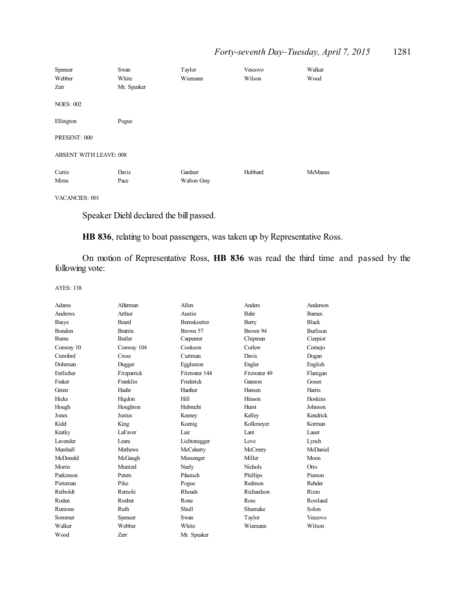# *Forty-seventh Day–Tuesday, April 7, 2015* 1281

| Spencer<br>Webber             | Swan<br>White | Taylor<br>Wiemann      | Vescovo<br>Wilson | Walker<br>Wood |
|-------------------------------|---------------|------------------------|-------------------|----------------|
| Zerr                          | Mr. Speaker   |                        |                   |                |
| <b>NOES: 002</b>              |               |                        |                   |                |
| Ellington                     | Pogue         |                        |                   |                |
| PRESENT: 000                  |               |                        |                   |                |
| <b>ABSENT WITH LEAVE: 008</b> |               |                        |                   |                |
| Curtis<br>Mims                | Davis<br>Pace | Gardner<br>Walton Gray | Hubbard           | <b>McManus</b> |

VACANCIES: 001

Speaker Diehl declared the bill passed.

**HB 836**, relating to boat passengers, was taken up by Representative Ross.

On motion of Representative Ross, **HB 836** was read the third time and passed by the following vote:

| Adams           | Alferman       | Allen               | Anders         | Anderson        |
|-----------------|----------------|---------------------|----------------|-----------------|
| Andrews         | Arthur         | Austin              | Bahr           | <b>Bames</b>    |
| Basye           | <b>Beard</b>   | <b>Bernskoetter</b> | Berry          | <b>Black</b>    |
| <b>Bondon</b>   | <b>Brattin</b> | Brown 57            | Brown 94       | <b>Burlison</b> |
| <b>Burns</b>    | <b>Butler</b>  | Carpenter           | Chipman        | Cierpiot        |
| Conway 10       | Conway 104     | Cookson             | Corlew         | Comejo          |
| Crawford        | Cross          | Curtman             | Davis          | Dogan           |
| Dohrman         | Dugger         | Eggleston           | Engler         | English         |
| Entlicher       | Fitzpatrick    | Fitzwater 144       | Fitzwater 49   | Flanigan        |
| Fraker          | Franklin       | Frederick           | Gannon         | Gosen           |
| Green           | Haahr          | Haefner             | Hansen         | Harris          |
| Hicks           | Higdon         | Hill                | Hinson         | Hoskins         |
| Hough           | Houghton       | Hubrecht            | <b>Hurst</b>   | Johnson         |
| Jones           | Justus         | Keeney              | Kelley         | Kendrick        |
| Kidd            | King           | Koenig              | Kolkmeyer      | Korman          |
| Kratky          | LaFaver        | Lair                | Lant           | Lauer           |
| <b>Lavender</b> | I eara         | Lichtenegger        | Love           | Lynch           |
| Marshall        | <b>Mathews</b> | McCaherty           | McCreery       | McDaniel        |
| McDonald        | McGaugh        | Messenger           | Miller         | Moon            |
| Morris          | Muntzel        | Neely               | <b>Nichols</b> | Otto            |
| Parkinson       | Peters         | Pfautsch            | Phillips       | Pierson         |
| Pietzman        | Pike           | Pogue               | Redmon         | Rehder          |
| Reiboldt        | Remole         | Rhoads              | Richardson     | Rizzo           |
| Roden           | Roeber         | Rone                | Ross           | Rowland         |
| Runions         | Ruth           | Shull               | Shumake        | Solon           |
| Sommer          | Spencer        | Swan                | Taylor         | Vescovo         |
| Walker          | Webber         | White               | Wiemann        | Wilson          |
| Wood            | Zerr           | Mr. Speaker         |                |                 |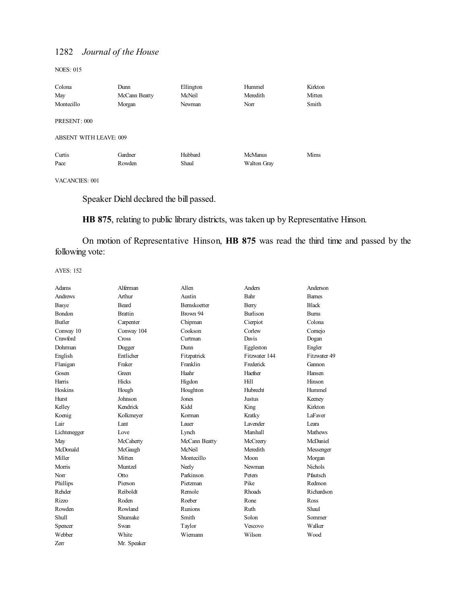NOES: 015

| Dunn                          | Ellington        | Hummel                               | Kirkton<br>Mitten |
|-------------------------------|------------------|--------------------------------------|-------------------|
| Morgan                        | Newman           | Norr                                 | Smith             |
|                               |                  |                                      |                   |
| <b>ABSENT WITH LEAVE: 009</b> |                  |                                      |                   |
| Gardner<br>Rowden             | Hubbard<br>Shaul | <b>McManus</b><br><b>Walton Gray</b> | Mims              |
|                               | McCann Beatty    | McNeil                               | Meredith          |

VACANCIES: 001

Speaker Diehl declared the bill passed.

**HB 875**, relating to public library districts, was taken up by Representative Hinson.

On motion of Representative Hinson, **HB 875** was read the third time and passed by the following vote:

| Adams         | Alferman       | Allen               | Anders          | Anderson       |
|---------------|----------------|---------------------|-----------------|----------------|
|               |                |                     |                 |                |
| Andrews       | Arthur         | Austin              | Bahr            | <b>Barnes</b>  |
| Basye         | Beard          | <b>Bernskoetter</b> | Berry           | <b>Black</b>   |
| <b>Bondon</b> | <b>Brattin</b> | Brown 94            | <b>Burlison</b> | <b>Bums</b>    |
| <b>Butler</b> | Carpenter      | Chipman             | Cierpiot        | Colona         |
| Conway 10     | Conway 104     | Cookson             | Corlew          | Comejo         |
| Crawford      | Cross          | Curtman             | Davis           | Dogan          |
| Dohrman       | Dugger         | Dunn                | Eggleston       | Engler         |
| English       | Entlicher      | Fitzpatrick         | Fitzwater 144   | Fitzwater 49   |
| Flanigan      | Fraker         | Franklin            | Frederick       | Gannon         |
| Gosen         | Green          | Haahr               | Haefner         | Hansen         |
| Harris        | Hicks          | Higdon              | Hill            | Hinson         |
| Hoskins       | Hough          | Houghton            | Hubrecht        | Hummel         |
| Hurst         | Johnson        | Jones               | Justus          | Keeney         |
| Kelley        | Kendrick       | Kidd                | King            | Kirkton        |
| Koenig        | Kolkmeyer      | Korman              | Kratky          | LaFaver        |
| Lair          | Lant           | Lauer               | <b>Lavender</b> | Leara          |
| Lichtenegger  | Love           | Lynch               | Marshall        | <b>Mathews</b> |
| May           | McCaherty      | McCann Beatty       | McCreery        | McDaniel       |
| McDonald      | McGaugh        | McNeil              | Meredith        | Messenger      |
| Miller        | Mitten         | Montecillo          | Moon            | Morgan         |
| Morris        | Muntzel        | Neely               | Newman          | <b>Nichols</b> |
| Norr          | Otto           | Parkinson           | Peters          | Pfautsch       |
| Phillips      | Pierson        | Pietzman            | Pike            | Redmon         |
| Rehder        | Reiboldt       | Remole              | <b>Rhoads</b>   | Richardson     |
| <b>Rizzo</b>  | Roden          | Roeber              | Rone            | Ross           |
| Rowden        | Rowland        | Runions             | Ruth            | Shaul          |
| <b>Shull</b>  | Shumake        | Smith               | Solon           | Sommer         |
| Spencer       | Swan           | Taylor              | Vescovo         | Walker         |
| Webber        | White          | Wiemann             | Wilson          | Wood           |
| Zerr          | Mr. Speaker    |                     |                 |                |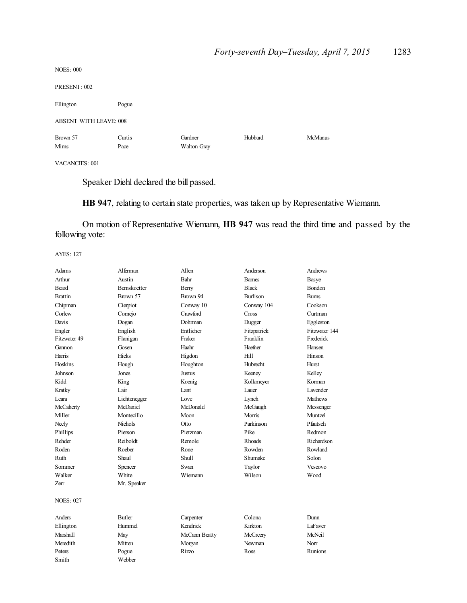| <b>NOES: 000</b>       |                |                        |         |                |
|------------------------|----------------|------------------------|---------|----------------|
| PRESENT: 002           |                |                        |         |                |
| Ellington              | Pogue          |                        |         |                |
| ABSENT WITH LEAVE: 008 |                |                        |         |                |
| Brown 57<br>Mims       | Curtis<br>Pace | Gardner<br>Walton Gray | Hubbard | <b>McManus</b> |

VACANCIES: 001

Speaker Diehl declared the bill passed.

**HB 947**, relating to certain state properties, was taken up by Representative Wiemann.

On motion of Representative Wiemann, **HB 947** was read the third time and passed by the following vote:

AYES: 127

Smith Webber

| Adams            | Alferman            | Allen         | Anderson        | Andrews       |
|------------------|---------------------|---------------|-----------------|---------------|
| Arthur           | Austin              | Bahr          | <b>Barnes</b>   | Basye         |
| <b>Beard</b>     | <b>Bernskoetter</b> | Berry         | <b>Black</b>    | <b>Bondon</b> |
| <b>Brattin</b>   | Brown 57            | Brown 94      | <b>Burlison</b> | <b>Bums</b>   |
| Chipman          | Cierpiot            | Conway 10     | Conway 104      | Cookson       |
| Corlew           | Cornejo             | Crawford      | Cross           | Curtman       |
| Davis            | Dogan               | Dohrman       | Dugger          | Eggleston     |
| Engler           | English             | Entlicher     | Fitzpatrick     | Fitzwater 144 |
| Fitzwater 49     | Flanigan            | Fraker        | Franklin        | Frederick     |
| Gannon           | Gosen               | Haahr         | Haefner         | Hansen        |
| Harris           | <b>Hicks</b>        | Higdon        | Hill            | Hinson        |
| Hoskins          | Hough               | Houghton      | Hubrecht        | <b>Hurst</b>  |
| Johnson          | Jones               | Justus        | Keeney          | Kelley        |
| Kidd             | King                | Koenig        | Kolkmeyer       | Korman        |
| Kratky           | Lair                | Lant          | Lauer           | Lavender      |
| Leara            | Lichtenegger        | Love          | Lynch           | Mathews       |
| McCaherty        | McDaniel            | McDonald      | McGaugh         | Messenger     |
| Miller           | Montecillo          | Moon          | Morris          | Muntzel       |
| Neely            | <b>Nichols</b>      | Otto          | Parkinson       | Pfautsch      |
| Phillips         | Pierson             | Pietzman      | Pike            | Redmon        |
| Rehder           | Reiboldt            | Remole        | <b>Rhoads</b>   | Richardson    |
| Roden            | Roeber              | Rone          | Rowden          | Rowland       |
| Ruth             | Shaul               | Shull         | Shumake         | Solon         |
| Sommer           | Spencer             | Swan          | Taylor          | Vescovo       |
| Walker           | White               | Wiemann       | Wilson          | Wood          |
| Zerr             | Mr. Speaker         |               |                 |               |
| <b>NOES: 027</b> |                     |               |                 |               |
| Anders           | <b>Butler</b>       | Carpenter     | Colona          | Dunn          |
| Ellington        | Hummel              | Kendrick      | Kirkton         | LaFaver       |
| <b>Marshall</b>  | May                 | McCann Beatty | McCreery        | McNeil        |
| Meredith         | Mitten              | Morgan        | Newman          | Norr          |

Peters **Pogue** Rizzo Ross Runions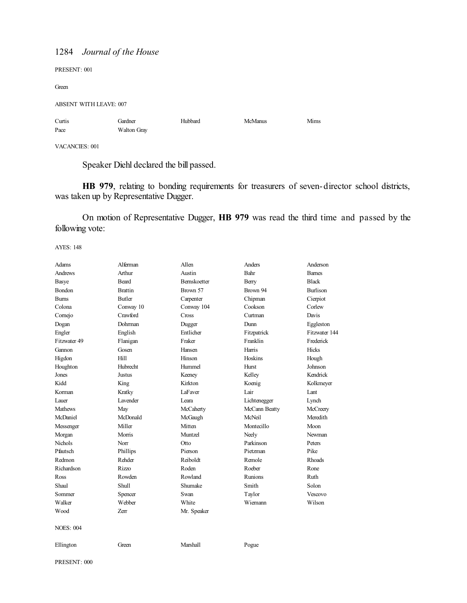| PRESENT: 001                  |             |         |                |      |
|-------------------------------|-------------|---------|----------------|------|
| Green                         |             |         |                |      |
| <b>ABSENT WITH LEAVE: 007</b> |             |         |                |      |
| Curtis                        | Gardner     | Hubbard | <b>McManus</b> | Mims |
| Pace                          | Walton Gray |         |                |      |
| VACANCIES: 001                |             |         |                |      |

Speaker Diehl declared the bill passed.

**HB 979**, relating to bonding requirements for treasurers of seven-director school districts, was taken up by Representative Dugger.

On motion of Representative Dugger, **HB 979** was read the third time and passed by the following vote:

AYES: 148

| <b>Adams</b>     | Alferman        | Allen        | Anders        | Anderson        |
|------------------|-----------------|--------------|---------------|-----------------|
| Andrews          | Arthur          | Austin       | Bahr          | <b>Barnes</b>   |
| Basye            | <b>Beard</b>    | Bernskoetter | Berry         | <b>Black</b>    |
| Bondon           | <b>Brattin</b>  | Brown 57     | Brown 94      | <b>Burlison</b> |
| <b>Bums</b>      | <b>Butler</b>   | Carpenter    | Chipman       | Cierpiot        |
| Colona           | Conway 10       | Conway 104   | Cookson       | Corlew          |
| Comejo           | Crawford        | Cross        | Curtman       | Davis           |
| Dogan            | Dohrman         | Dugger       | Dunn          | Eggleston       |
| Engler           | English         | Entlicher    | Fitzpatrick   | Fitzwater 144   |
| Fitzwater 49     | Flanigan        | Fraker       | Franklin      | Frederick       |
| Gannon           | Gosen           | Hansen       | Harris        | Hicks           |
| Higdon           | Hill            | Hinson       | Hoskins       | Hough           |
| Houghton         | Hubrecht        | Hummel       | Hurst         | Johnson         |
| Jones            | Justus          | Keeney       | Kelley        | Kendrick        |
| Kidd             | King            | Kirkton      | Koenig        | Kolkmeyer       |
| Korman           | Kratky          | LaFaver      | Lair          | Lant            |
| Lauer            | <b>Lavender</b> | Leara        | Lichtenegger  | Lynch           |
| Mathews          | May             | McCaherty    | McCann Beatty | McCreery        |
| McDaniel         | McDonald        | McGaugh      | McNeil        | Meredith        |
| Messenger        | Miller          | Mitten       | Montecillo    | Moon            |
| Morgan           | Morris          | Muntzel      | Neely         | Newman          |
| <b>Nichols</b>   | Norr            | Otto         | Parkinson     | Peters          |
| Pfautsch         | Phillips        | Pierson      | Pietzman      | Pike            |
| Redmon           | Rehder          | Reiboldt     | Remole        | <b>Rhoads</b>   |
| Richardson       | Rizzo           | Roden        | Roeber        | Rone            |
| Ross             | Rowden          | Rowland      | Runions       | Ruth            |
| Shaul            | Shull           | Shumake      | Smith         | Solon           |
| Sommer           | Spencer         | Swan         | Taylor        | Vescovo         |
| Walker           | Webber          | White        | Wiemann       | Wilson          |
| Wood             | Zerr            | Mr. Speaker  |               |                 |
| <b>NOES: 004</b> |                 |              |               |                 |
| Ellington        | Green           | Marshall     | Pogue         |                 |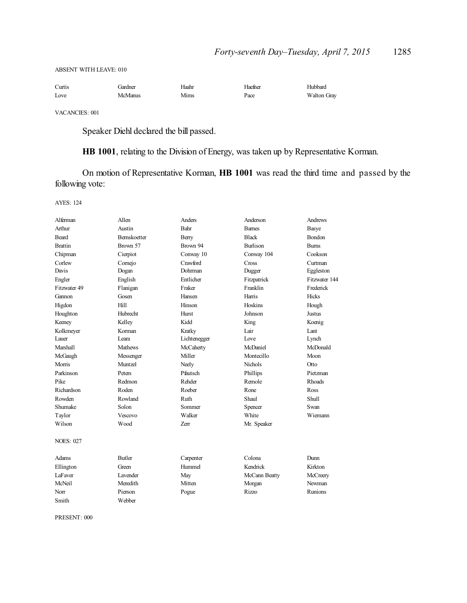| Curtis | Gardner        | Haahr | Haefner | Hubbard            |
|--------|----------------|-------|---------|--------------------|
| Love   | <b>McManus</b> | Mims  | Pace    | <b>Walton Gray</b> |

VACANCIES: 001

Speaker Diehl declared the bill passed.

**HB 1001**, relating to the Division of Energy, was taken up by Representative Korman.

On motion of Representative Korman, **HB 1001** was read the third time and passed by the following vote:

AYES: 124

| Alferman         | Allen               | <b>Anders</b> | Anderson        | <b>Andrews</b> |
|------------------|---------------------|---------------|-----------------|----------------|
| Arthur           | Austin              | Bahr          | <b>Barnes</b>   | Basye          |
| <b>Beard</b>     | <b>Bernskoetter</b> | Berry         | <b>Black</b>    | <b>Bondon</b>  |
| <b>Brattin</b>   | Brown 57            | Brown 94      | <b>Burlison</b> | <b>Burns</b>   |
| Chipman          | Cierpiot            | Conway 10     | Conway 104      | Cookson        |
| Corlew           | Cornejo             | Crawford      | Cross           | Curtman        |
| Davis            | Dogan               | Dohrman       | Dugger          | Eggleston      |
| Engler           | English             | Entlicher     | Fitzpatrick     | Fitzwater 144  |
| Fitzwater 49     | Flanigan            | Fraker        | Franklin        | Frederick      |
| Gannon           | Gosen               | Hansen        | Harris          | Hicks          |
| Higdon           | Hill                | Hinson        | Hoskins         | Hough          |
| Houghton         | Hubrecht            | Hurst         | Johnson         | <b>Justus</b>  |
| Keeney           | Kelley              | Kidd          | King            | Koenig         |
| Kolkmeyer        | Korman              | Kratky        | Lair            | Lant           |
| Lauer            | Leara               | Lichtenegger  | Love            | Lynch          |
| <b>Marshall</b>  | <b>Mathews</b>      | McCaherty     | McDaniel        | McDonald       |
| McGaugh          | Messenger           | Miller        | Montecillo      | Moon           |
| Morris           | Muntzel             | Neely         | <b>Nichols</b>  | Otto           |
| Parkinson        | Peters              | Pfautsch      | Phillips        | Pietzman       |
| Pike             | Redmon              | Rehder        | Remole          | Rhoads         |
| Richardson       | Roden               | Roeber        | Rone            | Ross           |
| Rowden           | Rowland             | Ruth          | Shaul           | Shull          |
| Shumake          | Solon               | Sommer        | Spencer         | Swan           |
| Taylor           | Vescovo             | Walker        | White           | Wiemann        |
| Wilson           | Wood                | Zerr          | Mr. Speaker     |                |
| <b>NOES: 027</b> |                     |               |                 |                |
| Adams            | <b>Butler</b>       | Carpenter     | Colona          | Dunn           |
| Ellington        | Green               | Hummel        | Kendrick        | Kirkton        |
| LaFaver          | <b>Lavender</b>     | May           | McCann Beatty   | McCreery       |
| McNeil           | Meredith            | Mitten        | Morgan          | Newman         |
| Norr             | Pierson             | Pogue         | Rizzo           | Runions        |
| Smith            | Webber              |               |                 |                |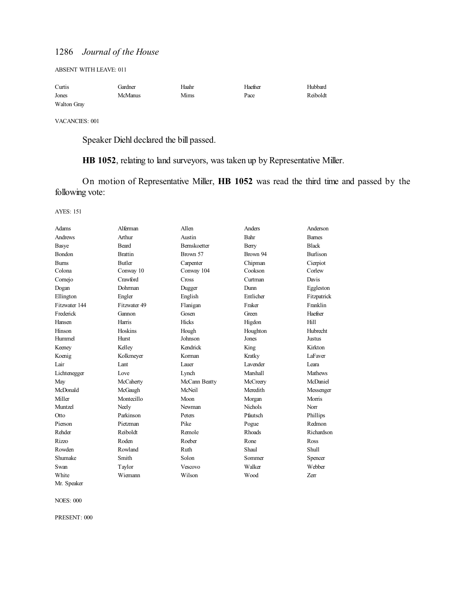ABSENT WITH LEAVE: 011

| Curtis             | Gardner | Haahr | Haefner | Hubbard  |
|--------------------|---------|-------|---------|----------|
| Jones              | McManus | Mims  | Pace    | Reiboldt |
| <b>Walton Gray</b> |         |       |         |          |

VACANCIES: 001

Speaker Diehl declared the bill passed.

**HB 1052**, relating to land surveyors, was taken up by Representative Miller.

On motion of Representative Miller, **HB 1052** was read the third time and passed by the following vote:

AYES: 151

| Adams         | Alferman       | Allen               | Anders          | Anderson        |
|---------------|----------------|---------------------|-----------------|-----------------|
| Andrews       | Arthur         | Austin              | Bahr            | <b>Bames</b>    |
| Basye         | Beard          | <b>Bernskoetter</b> | Berry           | <b>Black</b>    |
| Bondon        | <b>Brattin</b> | Brown 57            | Brown 94        | <b>Burlison</b> |
| <b>Burns</b>  | <b>Butler</b>  | Carpenter           | Chipman         | Cierpiot        |
| Colona        | Conway 10      | Conway 104          | Cookson         | Corlew          |
| Comejo        | Crawford       | Cross               | Curtman         | Davis           |
| Dogan         | Dohrman        | Dugger              | Dunn            | Eggleston       |
| Ellington     | Engler         | English             | Entlicher       | Fitzpatrick     |
| Fitzwater 144 | Fitzwater 49   | Flanigan            | Fraker          | Franklin        |
| Frederick     | Gannon         | Gosen               | Green           | Haefner         |
| Hansen        | Harris         | Hicks               | Higdon          | Hill            |
| Hinson        | Hoskins        | Hough               | Houghton        | Hubrecht        |
| Hummel        | Hurst          | Johnson             | Jones           | <b>Justus</b>   |
| Keeney        | Kelley         | Kendrick            | King            | Kirkton         |
| Koenig        | Kolkmeyer      | Korman              | Kratky          | LaFaver         |
| Lair          | Lant           | Lauer               | <b>Lavender</b> | I eara          |
| Lichtenegger  | Love           | Lynch               | Marshall        | <b>Mathews</b>  |
| May           | McCaherty      | McCann Beatty       | McCreery        | McDaniel        |
| McDonald      | McGaugh        | McNeil              | Meredith        | Messenger       |
| Miller        | Montecillo     | Moon                | Morgan          | Morris          |
| Muntzel       | Neely          | Newman              | <b>Nichols</b>  | Norr            |
| Otto          | Parkinson      | Peters              | Pfautsch        | Phillips        |
| Pierson       | Pietzman       | Pike                | Pogue           | Redmon          |
| Rehder        | Reiboldt       | Remole              | <b>Rhoads</b>   | Richardson      |
| Rizzo         | Roden          | Roeber              | Rone            | Ross            |
| Rowden        | Rowland        | Ruth                | Shaul           | Shull           |
| Shumake       | Smith          | Solon               | Sommer          | Spencer         |
| Swan          | Taylor         | Vescovo             | Walker          | Webber          |
| White         | Wiemann        | Wilson              | Wood            | Zerr            |
| Mr. Speaker   |                |                     |                 |                 |

NOES: 000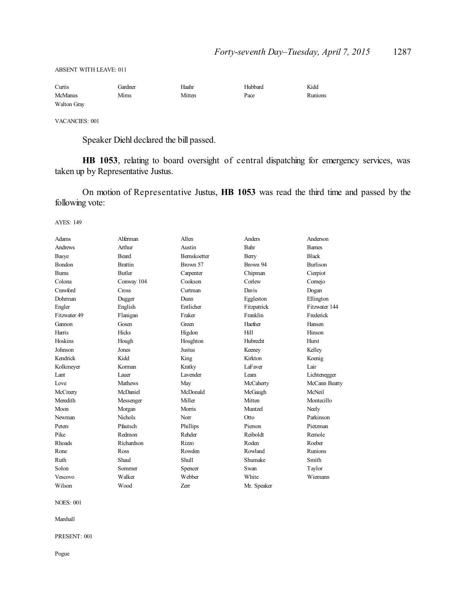| Curtis             | Gardner | Haahr  | Hubbard | Kidd    |
|--------------------|---------|--------|---------|---------|
| <b>McManus</b>     | Mims    | Mitten | Pace    | Runions |
| <b>Walton Gray</b> |         |        |         |         |

VACANCIES: 001

Speaker Diehl declared the bill passed.

**HB 1053**, relating to board oversight of central dispatching for emergency services, was taken up by Representative Justus.

On motion of Representative Justus, **HB 1053** was read the third time and passed by the following vote:

AYES: 149

| Adams         | Alferman       | Allen               | Anders      | Anderson        |
|---------------|----------------|---------------------|-------------|-----------------|
| Andrews       | Arthur         | Austin              | Bahr        | <b>Bames</b>    |
| Basye         | Beard          | <b>Bernskoetter</b> | Berry       | <b>Black</b>    |
| <b>Bondon</b> | <b>Brattin</b> | Brown 57            | Brown 94    | <b>Burlison</b> |
| <b>Burns</b>  | <b>Butler</b>  | Carpenter           | Chipman     | Cierpiot        |
| Colona        | Conway 104     | Cookson             | Corlew      | Cornejo         |
| Crawford      | Cross          | Curtman             | Davis       | Dogan           |
| Dohrman       | Dugger         | Dunn                | Eggleston   | Ellington       |
| Engler        | English        | Entlicher           | Fitzpatrick | Fitzwater 144   |
| Fitzwater 49  | Flanigan       | Fraker              | Franklin    | Frederick       |
| Gannon        | Gosen          | Green               | Haefner     | Hansen          |
| Harris        | <b>Hicks</b>   | Higdon              | Hill        | Hinson          |
| Hoskins       | Hough          | Houghton            | Hubrecht    | Hurst           |
| Johnson       | Jones          | Justus              | Keeney      | Kelley          |
| Kendrick      | Kidd           | King                | Kirkton     | Koenig          |
| Kolkmeyer     | Korman         | Kratky              | LaFaver     | Lair            |
| Lant          | Lauer          | <b>Lavender</b>     | Leara       | Lichtenegger    |
| Love          | <b>Mathews</b> | May                 | McCaherty   | McCann Beatty   |
| McCreery      | McDaniel       | McDonald            | McGaugh     | <b>McNeil</b>   |
| Meredith      | Messenger      | Miller              | Mitten      | Montecillo      |
| Moon          | Morgan         | Morris              | Muntzel     | Neely           |
| Newman        | <b>Nichols</b> | Norr                | Otto        | Parkinson       |
| Peters        | Pfautsch       | Phillips            | Pierson     | Pietzman        |
| Pike          | Redmon         | Rehder              | Reiboldt    | Remole          |
| <b>Rhoads</b> | Richardson     | Rizzo               | Roden       | Roeber          |
| Rone          | Ross           | Rowden              | Rowland     | Runions         |
| Ruth          | Shaul          | Shull               | Shumake     | Smith           |
| Solon         | Sommer         | Spencer             | Swan        | Taylor          |
| Vescovo       | Walker         | Webber              | White       | Wiemann         |
| Wilson        | Wood           | Zerr                | Mr. Speaker |                 |

NOES: 001

Marshall

PRESENT: 001

Pogue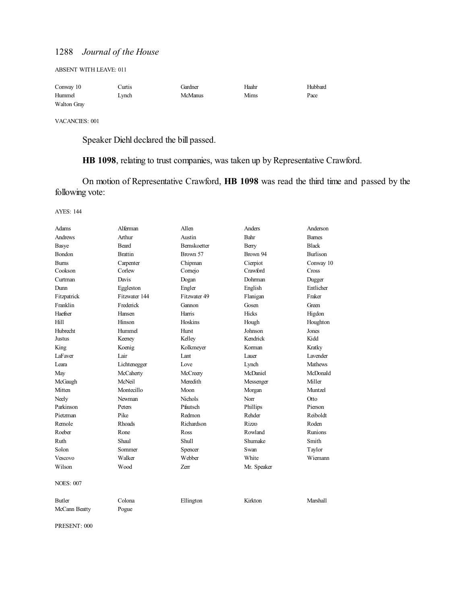|  | <b>ABSENT WITH LEAVE: 011</b> |
|--|-------------------------------|
|--|-------------------------------|

| Conway 10   | Curtis. | Gardner | Haahr | Hubbard |
|-------------|---------|---------|-------|---------|
| Hummel      | Lynch   | McManus | Mims  | Pace    |
| Walton Gray |         |         |       |         |

VACANCIES: 001

Speaker Diehl declared the bill passed.

**HB 1098**, relating to trust companies, was taken up by Representative Crawford.

On motion of Representative Crawford, **HB 1098** was read the third time and passed by the following vote:

AYES: 144

| Adams            | Alferman       | Allen          | Anders      | Anderson        |
|------------------|----------------|----------------|-------------|-----------------|
| Andrews          | Arthur         | Austin         | Bahr        | <b>Barnes</b>   |
| Basye            | <b>Beard</b>   | Bernskoetter   | Berry       | <b>Black</b>    |
| <b>Bondon</b>    | <b>Brattin</b> | Brown 57       | Brown 94    | <b>Burlison</b> |
| <b>Burns</b>     | Carpenter      | Chipman        | Cierpiot    | Conway 10       |
| Cookson          | Corlew         | Cornejo        | Crawford    | Cross           |
| Curtman          | Davis          | Dogan          | Dohrman     | Dugger          |
| Dunn             | Eggleston      | Engler         | English     | Entlicher       |
| Fitzpatrick      | Fitzwater 144  | Fitzwater 49   | Flanigan    | Fraker          |
| Franklin         | Frederick      | Gannon         | Gosen       | Green           |
| Haefner          | Hansen         | Harris         | Hicks       | Higdon          |
| Hill             | Hinson         | Hoskins        | Hough       | Houghton        |
| Hubrecht         | Hummel         | <b>Hurst</b>   | Johnson     | Jones           |
| Justus           | Keeney         | Kelley         | Kendrick    | Kidd            |
| King             | Koenig         | Kolkmeyer      | Korman      | Kratky          |
| LaFaver          | Lair           | Lant           | Lauer       | Lavender        |
| Leara            | Lichtenegger   | Love           | Lynch       | <b>Mathews</b>  |
| May              | McCaherty      | McCreery       | McDaniel    | McDonald        |
| McGaugh          | McNeil         | Meredith       | Messenger   | Miller          |
| Mitten           | Montecillo     | Moon           | Morgan      | Muntzel         |
| Neely            | Newman         | <b>Nichols</b> | Norr        | Otto            |
| Parkinson        | Peters         | Pfautsch       | Phillips    | Pierson         |
| Pietzman         | Pike           | Redmon         | Rehder      | Reiboldt        |
| Remole           | <b>Rhoads</b>  | Richardson     | Rizzo       | Roden           |
| Roeber           | Rone           | <b>Ross</b>    | Rowland     | <b>Runions</b>  |
| Ruth             | Shaul          | Shull          | Shumake     | Smith           |
| Solon            | Sommer         | Spencer        | Swan        | Taylor          |
| Vescovo          | Walker         | Webber         | White       | Wiemann         |
| Wilson           | Wood           | Zerr           | Mr. Speaker |                 |
| <b>NOES: 007</b> |                |                |             |                 |
| Butler           | Colona         | Ellington      | Kirkton     | Marshall        |
| McCann Beatty    | Pogue          |                |             |                 |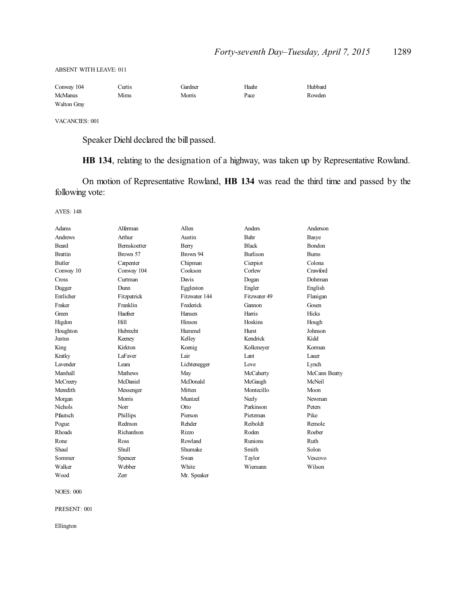| Conway 104     | Curtis | Gardner | Haahr | Hubbard |
|----------------|--------|---------|-------|---------|
| <b>McManus</b> | Mims   | Morris  | Pace  | Rowden  |
| Walton Gray    |        |         |       |         |

VACANCIES: 001

Speaker Diehl declared the bill passed.

**HB 134**, relating to the designation of a highway, was taken up by Representative Rowland.

On motion of Representative Rowland, **HB 134** was read the third time and passed by the following vote:

AYES: 148

| Adams           | Alferman        | Allen         | Anders          | Anderson      |
|-----------------|-----------------|---------------|-----------------|---------------|
| Andrews         | Arthur          | Austin        | Bahr            | Basye         |
| Beard           | Bernskoetter    | Berry         | <b>Black</b>    | Bondon        |
| <b>Brattin</b>  | Brown 57        | Brown 94      | <b>Burlison</b> | <b>Bums</b>   |
| <b>Butler</b>   | Carpenter       | Chipman       | Cierpiot        | Colona        |
| Conway 10       | Conway 104      | Cookson       | Corlew          | Crawford      |
| Cross           | Curtman         | Davis         | Dogan           | Dohrman       |
| Dugger          | Dunn            | Eggleston     | Engler          | English       |
| Entlicher       | Fitzpatrick     | Fitzwater 144 | Fitzwater 49    | Flanigan      |
| Fraker          | Franklin        | Frederick     | Gannon          | Gosen         |
| Green           | Haefner         | Hansen        | Harris          | Hicks         |
| Higdon          | Hill            | Hinson        | Hoskins         | Hough         |
| Houghton        | <b>Hubrecht</b> | Hummel        | Hurst           | Johnson       |
| Justus          | Keeney          | Kelley        | Kendrick        | Kidd          |
| King            | Kirkton         | Koenig        | Kolkmeyer       | Korman        |
| Kratky          | LaFaver         | Lair          | Lant            | Lauer         |
| <b>Lavender</b> | Leara           | Lichtenegger  | Love            | Lynch         |
| Marshall        | Mathews         | May           | McCaherty       | McCann Beatty |
| McCreery        | McDaniel        | McDonald      | McGaugh         | McNeil        |
| Meredith        | Messenger       | Mitten        | Montecillo      | Moon          |
| Morgan          | Morris          | Muntzel       | Neely           | Newman        |
| <b>Nichols</b>  | Norr            | Otto          | Parkinson       | Peters        |
| Pfautsch        | Phillips        | Pierson       | Pietzman        | Pike          |
| Pogue           | Redmon          | Rehder        | Reiboldt        | Remole        |
| Rhoads          | Richardson      | Rizzo         | Roden           | Roeber        |
| Rone            | Ross            | Rowland       | <b>Runions</b>  | Ruth          |
| Shaul           | Shull           | Shumake       | Smith           | Solon         |
| Sommer          | Spencer         | Swan          | Taylor          | Vescovo       |
| Walker          | Webber          | White         | Wiemann         | Wilson        |
| Wood            | Zerr            | Mr. Speaker   |                 |               |

NOES: 000

PRESENT: 001

Ellington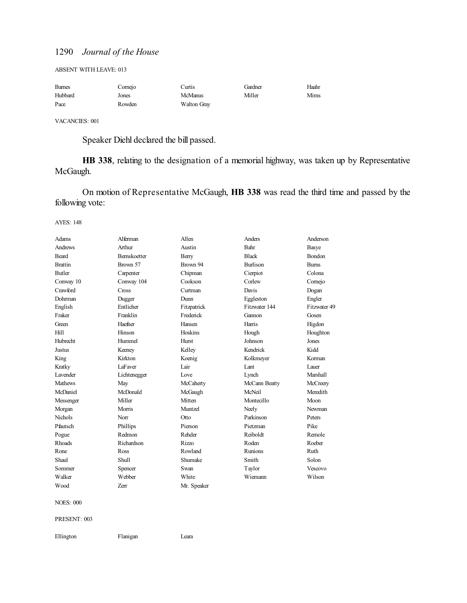ABSENT WITH LEAVE: 013

| <b>Barnes</b> | Cornejo | Curtis      | Gardner | Haahr |
|---------------|---------|-------------|---------|-------|
| Hubbard       | Jones   | McManus     | Miller  | Mims  |
| Pace          | Rowden  | Walton Gray |         |       |

VACANCIES: 001

Speaker Diehl declared the bill passed.

**HB 338**, relating to the designation of a memorial highway, was taken up by Representative McGaugh.

On motion of Representative McGaugh, **HB 338** was read the third time and passed by the following vote:

AYES: 148

| Adams            | Alferman     | Allen       | Anders          | Anderson     |
|------------------|--------------|-------------|-----------------|--------------|
| <b>Andrews</b>   | Arthur       | Austin      | Bahr            | <b>Basye</b> |
| <b>Beard</b>     | Bernskoetter | Berry       | <b>Black</b>    | Bondon       |
| <b>Brattin</b>   | Brown 57     | Brown 94    | <b>Burlison</b> | <b>Bums</b>  |
| Butler           | Carpenter    | Chipman     | Cierpiot        | Colona       |
| Conway 10        | Conway 104   | Cookson     | Corlew          | Comejo       |
| Crawford         | Cross        | Curtman     | Davis           | Dogan        |
| Dohrman          | Dugger       | Dunn        | Eggleston       | Engler       |
| English          | Entlicher    | Fitzpatrick | Fitzwater 144   | Fitzwater 49 |
| Fraker           | Franklin     | Frederick   | Gannon          | Gosen        |
| Green            | Haefner      | Hansen      | Harris          | Higdon       |
| Hill             | Hinson       | Hoskins     | Hough           | Houghton     |
| <b>Hubrecht</b>  | Hummel       | Hurst       | Johnson         | Jones        |
| Justus           | Keeney       | Kelley      | Kendrick        | Kidd         |
| King             | Kirkton      | Koenig      | Kolkmeyer       | Korman       |
| Kratky           | LaFaver      | Lair        | Lant            | Lauer        |
| Lavender         | Lichtenegger | Love        | Lynch           | Marshall     |
| Mathews          | May          | McCaherty   | McCann Beatty   | McCreery     |
| McDaniel         | McDonald     | McGaugh     | McNeil          | Meredith     |
| Messenger        | Miller       | Mitten      | Montecillo      | Moon         |
| Morgan           | Morris       | Muntzel     | Neely           | Newman       |
| <b>Nichols</b>   | Norr         | Otto        | Parkinson       | Peters       |
| Pfautsch         | Phillips     | Pierson     | Pietzman        | Pike         |
| Pogue            | Redmon       | Rehder      | Reiboldt        | Remole       |
| Rhoads           | Richardson   | Rizzo       | Roden           | Roeber       |
| Rone             | <b>Ross</b>  | Rowland     | <b>Runions</b>  | Ruth         |
| Shaul            | <b>Shull</b> | Shumake     | Smith           | Solon        |
| Sommer           | Spencer      | Swan        | Taylor          | Vescovo      |
| Walker           | Webber       | White       | Wiemann         | Wilson       |
| Wood             | Zerr         | Mr. Speaker |                 |              |
| <b>NOES: 000</b> |              |             |                 |              |
| PRESENT: 003     |              |             |                 |              |

Ellington Flanigan Leara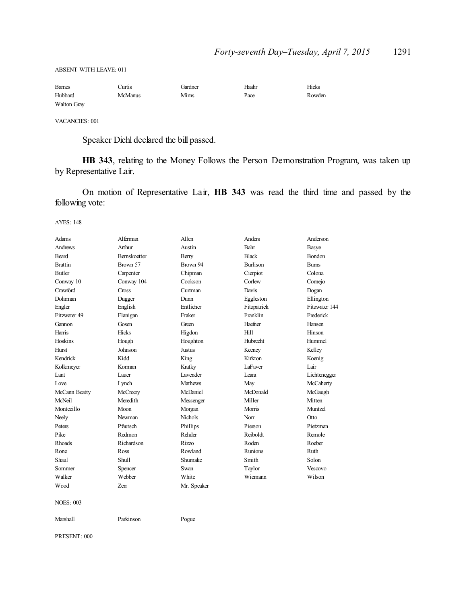| <b>Barnes</b>      | <b>Jurtis</b> | Gardner | Haahr | Hicks  |
|--------------------|---------------|---------|-------|--------|
| Hubbard            | McManus       | Mims    | Pace  | Rowden |
| <b>Walton Gray</b> |               |         |       |        |

VACANCIES: 001

Speaker Diehl declared the bill passed.

**HB 343**, relating to the Money Follows the Person Demonstration Program, was taken up by Representative Lair.

On motion of Representative Lair, **HB 343** was read the third time and passed by the following vote:

AYES: 148

| Adams            | Alferman     | Allen          | Anders          | Anderson      |
|------------------|--------------|----------------|-----------------|---------------|
| Andrews          | Arthur       | Austin         | Bahr            | Basye         |
| Beard            | Bernskoetter | Berry          | <b>Black</b>    | Bondon        |
| <b>Brattin</b>   | Brown 57     | Brown 94       | <b>Burlison</b> | <b>Burns</b>  |
| <b>Butler</b>    | Carpenter    | Chipman        | Cierpiot        | Colona        |
| Conway 10        | Conway 104   | Cookson        | Corlew          | Cornejo       |
| Crawford         | Cross        | Curtman        | Davis           | Dogan         |
| Dohrman          | Dugger       | Dunn           | Eggleston       | Ellington     |
| Engler           | English      | Entlicher      | Fitzpatrick     | Fitzwater 144 |
| Fitzwater 49     | Flanigan     | Fraker         | Franklin        | Frederick     |
| Gannon           | Gosen        | Green          | Haefner         | Hansen        |
| Harris           | <b>Hicks</b> | Higdon         | Hill            | Hinson        |
| Hoskins          | Hough        | Houghton       | Hubrecht        | Hummel        |
| <b>Hurst</b>     | Johnson      | <b>Justus</b>  | Keeney          | Kelley        |
| Kendrick         | Kidd         | King           | Kirkton         | Koenig        |
| Kolkmeyer        | Korman       | Kratky         | LaFaver         | Lair          |
| Lant             | Lauer        | Lavender       | Leara           | Lichtenegger  |
| Love             | Lynch        | <b>Mathews</b> | May             | McCaherty     |
| McCann Beatty    | McCreery     | McDaniel       | McDonald        | McGaugh       |
| McNeil           | Meredith     | Messenger      | Miller          | Mitten        |
| Montecillo       | Moon         | Morgan         | Morris          | Muntzel       |
| Neely            | Newman       | <b>Nichols</b> | Norr            | Otto          |
| Peters           | Pfautsch     | Phillips       | Pierson         | Pietzman      |
| Pike             | Redmon       | Rehder         | Reiboldt        | Remole        |
| <b>Rhoads</b>    | Richardson   | Rizzo          | Roden           | Roeber        |
| Rone             | Ross         | Rowland        | <b>Runions</b>  | Ruth          |
| Shaul            | Shull        | Shumake        | Smith           | Solon         |
| Sommer           | Spencer      | Swan           | Taylor          | Vescovo       |
| Walker           | Webber       | White          | Wiemann         | Wilson        |
| Wood             | Zerr         | Mr. Speaker    |                 |               |
| <b>NOES: 003</b> |              |                |                 |               |
| Marshall         | Parkinson    | Pogue          |                 |               |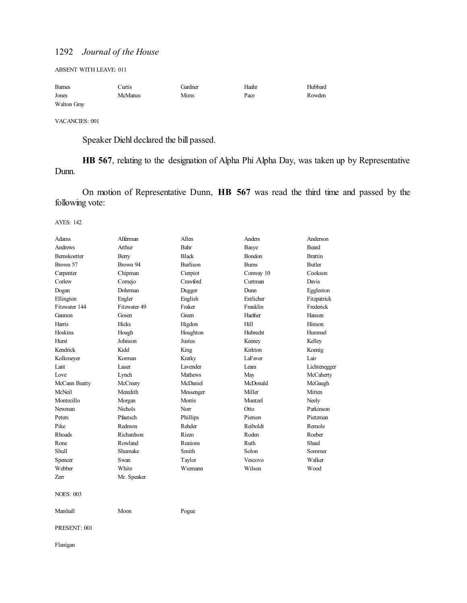ABSENT WITH LEAVE: 011

| <b>Barnes</b>      | Curtis  | Gardner | Haahr | Hubbard |
|--------------------|---------|---------|-------|---------|
| Jones              | McManus | Mims    | Pace  | Rowden  |
| <b>Walton Gray</b> |         |         |       |         |

VACANCIES: 001

Speaker Diehl declared the bill passed.

**HB 567**, relating to the designation of Alpha Phi Alpha Day, was taken up by Representative Dunn.

On motion of Representative Dunn, **HB 567** was read the third time and passed by the following vote:

AYES: 142

| <b>Adams</b>        | Alferman     | Allen           | Anders       | Anderson       |
|---------------------|--------------|-----------------|--------------|----------------|
| Andrews             | Arthur       | Bahr            | <b>Basye</b> | <b>Beard</b>   |
| <b>Bernskoetter</b> | Berry        | <b>Black</b>    | Bondon       | <b>Brattin</b> |
| Brown 57            | Brown 94     | <b>Burlison</b> | <b>Bums</b>  | <b>Butler</b>  |
| Carpenter           | Chipman      | Cierpiot        | Conway 10    | Cookson        |
| Corlew              | Comejo       | Crawford        | Curtman      | Davis          |
| Dogan               | Dohrman      | Dugger          | Dunn         | Eggleston      |
| Ellington           | Engler       | English         | Entlicher    | Fitzpatrick    |
| Fitzwater 144       | Fitzwater 49 | Fraker          | Franklin     | Frederick      |
| Gannon              | Gosen        | Green           | Haefner      | Hansen         |
| Harris              | Hicks        | Higdon          | Hill         | Hinson         |
| Hoskins             | Hough        | Houghton        | Hubrecht     | Hummel         |
| Hurst               | Johnson      | Justus          | Keeney       | Kelley         |
| Kendrick            | Kidd         | King            | Kirkton      | Koenig         |
| Kolkmeyer           | Korman       | Kratky          | LaFaver      | Lair           |
| Lant                | Lauer        | <b>Lavender</b> | Leara        | Lichtenegger   |
| Love                | Lynch        | <b>Mathews</b>  | May          | McCaherty      |
| McCann Beatty       | McCreery     | McDaniel        | McDonald     | McGaugh        |
| McNeil              | Meredith     | Messenger       | Miller       | Mitten         |
| Montecillo          | Morgan       | Morris          | Muntzel      | Neely          |
| Newman              | Nichols      | Norr            | Otto         | Parkinson      |
| Peters              | Pfautsch     | Phillips        | Pierson      | Pietzman       |
| Pike                | Redmon       | Rehder          | Reiboldt     | Remole         |
| Rhoads              | Richardson   | <b>Rizzo</b>    | Roden        | Roeber         |
| Rone                | Rowland      | Runions         | Ruth         | Shaul          |
| Shull               | Shumake      | Smith           | Solon        | Sommer         |
| Spencer             | Swan         | Taylor          | Vescovo      | Walker         |
| Webber              | White        | Wiemann         | Wilson       | Wood           |
| Zerr                | Mr. Speaker  |                 |              |                |
| <b>NOES: 003</b>    |              |                 |              |                |
| Marshall            | Moon         | Pogue           |              |                |
| PRESENT: 001        |              |                 |              |                |

Flanigan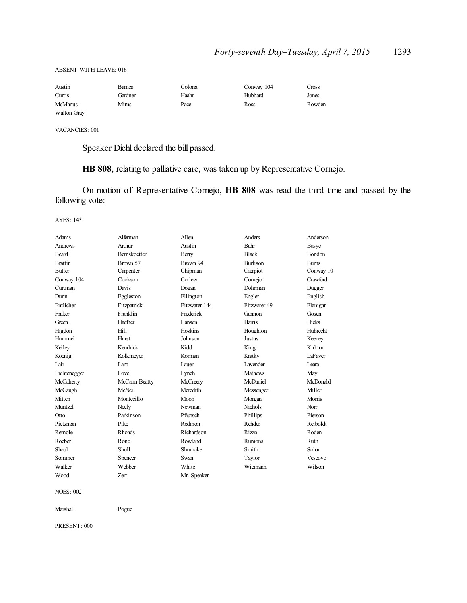| Austin             | Barnes  | Colona | Conway 104 | Cross  |
|--------------------|---------|--------|------------|--------|
| Curtis             | Gardner | Haahr  | Hubbard    | Jones  |
| <b>McManus</b>     | Mims    | Pace   | Ross       | Rowden |
| <b>Walton Gray</b> |         |        |            |        |

VACANCIES: 001

Speaker Diehl declared the bill passed.

**HB 808**, relating to palliative care, was taken up by Representative Cornejo.

On motion of Representative Cornejo, **HB 808** was read the third time and passed by the following vote:

AYES: 143

| Adams          | Alferman            | Allen         | Anders          | Anderson        |
|----------------|---------------------|---------------|-----------------|-----------------|
| Andrews        | Arthur              | Austin        | Bahr            | Basye           |
| <b>Beard</b>   | <b>Bernskoetter</b> | Berry         | <b>Black</b>    | <b>Bondon</b>   |
| <b>Brattin</b> | Brown 57            | Brown 94      | <b>Burlison</b> | <b>Bums</b>     |
| <b>Butler</b>  | Carpenter           | Chipman       | Cierpiot        | Conway 10       |
| Conway 104     | Cookson             | Corlew        | Comejo          | Crawford        |
| Curtman        | Davis               | Dogan         | Dohrman         | Dugger          |
| Dunn           | Eggleston           | Ellington     | Engler          | English         |
| Entlicher      | Fitzpatrick         | Fitzwater 144 | Fitzwater 49    | Flanigan        |
| Fraker         | Franklin            | Frederick     | Gannon          | Gosen           |
| Green          | Haefner             | Hansen        | Harris          | Hicks           |
| Higdon         | Hill                | Hoskins       | Houghton        | <b>Hubrecht</b> |
| Hummel         | <b>Hurst</b>        | Johnson       | <b>Justus</b>   | Keeney          |
| Kelley         | Kendrick            | Kidd          | King            | Kirkton         |
| Koenig         | Kolkmeyer           | Korman        | Kratky          | LaFaver         |
| Lair           | Lant                | Lauer         | <b>Lavender</b> | Leara           |
| Lichtenegger   | Love                | Lynch         | <b>Mathews</b>  | May             |
| McCaherty      | McCann Beatty       | McCreery      | McDaniel        | McDonald        |
| McGaugh        | McNeil              | Meredith      | Messenger       | Miller          |
| Mitten         | Montecillo          | Moon          | Morgan          | Morris          |
| Muntzel        | Neely               | Newman        | <b>Nichols</b>  | Norr            |
| Otto           | Parkinson           | Pfautsch      | Phillips        | Pierson         |
| Pietzman       | Pike                | Redmon        | Rehder          | Reiboldt        |
| Remole         | <b>Rhoads</b>       | Richardson    | <b>Rizzo</b>    | Roden           |
| Roeber         | Rone                | Rowland       | Runions         | Ruth            |
| Shaul          | Shull               | Shumake       | Smith           | Solon           |
| Sommer         | Spencer             | Swan          | Taylor          | Vescovo         |
| Walker         | Webber              | White         | Wiemann         | Wilson          |
| Wood           | Zerr                | Mr. Speaker   |                 |                 |
| 100000000      |                     |               |                 |                 |

NOES: 002

Marshall Pogue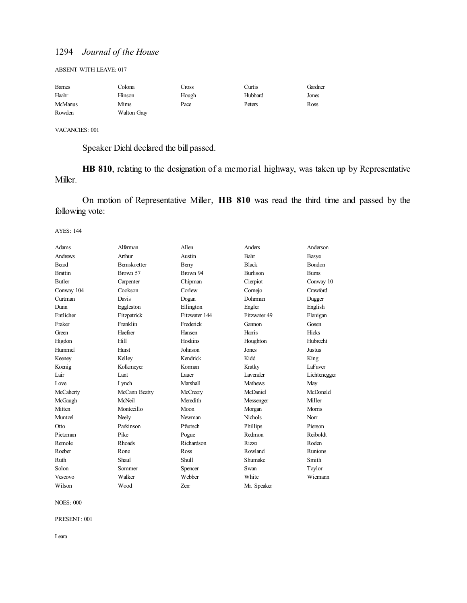ABSENT WITH LEAVE: 017

| <b>Barnes</b>  | Colona      | Cross | Curtis  | Gardner |
|----------------|-------------|-------|---------|---------|
| Haahr          | Hinson      | Hough | Hubbard | Jones   |
| <b>McManus</b> | Mims        | Pace  | Peters  | Ross    |
| Rowden         | Walton Gray |       |         |         |

VACANCIES: 001

Speaker Diehl declared the bill passed.

**HB 810**, relating to the designation of a memorial highway, was taken up by Representative Miller.

On motion of Representative Miller, **HB 810** was read the third time and passed by the following vote:

AYES: 144

| Adams          | Alferman            | Allen         | Anders          | Anderson       |
|----------------|---------------------|---------------|-----------------|----------------|
| Andrews        | Arthur              | Austin        | Bahr            | Basye          |
| <b>Beard</b>   | <b>Bernskoetter</b> | Berry         | <b>Black</b>    | <b>Bondon</b>  |
| <b>Brattin</b> | Brown 57            | Brown 94      | <b>Burlison</b> | <b>Burns</b>   |
| <b>Butler</b>  | Carpenter           | Chipman       | Cierpiot        | Conway 10      |
| Conway 104     | Cookson             | Corlew        | Comejo          | Crawford       |
| Curtman        | Davis               | Dogan         | Dohrman         | Dugger         |
| Dunn           | Eggleston           | Ellington     | Engler          | English        |
| Entlicher      | Fitzpatrick         | Fitzwater 144 | Fitzwater 49    | Flanigan       |
| Fraker         | Franklin            | Frederick     | Gannon          | Gosen          |
| Green          | Haefner             | Hansen        | Harris          | Hicks          |
| Higdon         | Hill                | Hoskins       | Houghton        | Hubrecht       |
| Hummel         | Hurst               | Johnson       | Jones           | <b>Justus</b>  |
| Keeney         | Kelley              | Kendrick      | Kidd            | King           |
| Koenig         | Kolkmeyer           | Korman        | Kratky          | LaFaver        |
| Lair           | Lant                | Lauer         | <b>Lavender</b> | Lichtenegger   |
| Love           | Lynch               | Marshall      | Mathews         | May            |
| McCaherty      | McCann Beatty       | McCreery      | McDaniel        | McDonald       |
| McGaugh        | McNeil              | Meredith      | Messenger       | Miller         |
| Mitten         | Montecillo          | Moon          | Morgan          | Morris         |
| Muntzel        | Neely               | Newman        | <b>Nichols</b>  | Norr           |
| Otto           | Parkinson           | Pfautsch      | Phillips        | Pierson        |
| Pietzman       | Pike                | Pogue         | Redmon          | Reiboldt       |
| Remole         | Rhoads              | Richardson    | Rizzo           | Roden          |
| Roeber         | Rone                | Ross          | Rowland         | <b>Runions</b> |
| Ruth           | Shaul               | <b>Shull</b>  | Shumake         | Smith          |
| Solon          | Sommer              | Spencer       | Swan            | Taylor         |
| Vescovo        | Walker              | Webber        | White           | Wiemann        |
| Wilson         | Wood                | Zerr          | Mr. Speaker     |                |

NOES: 000

PRESENT: 001

Leara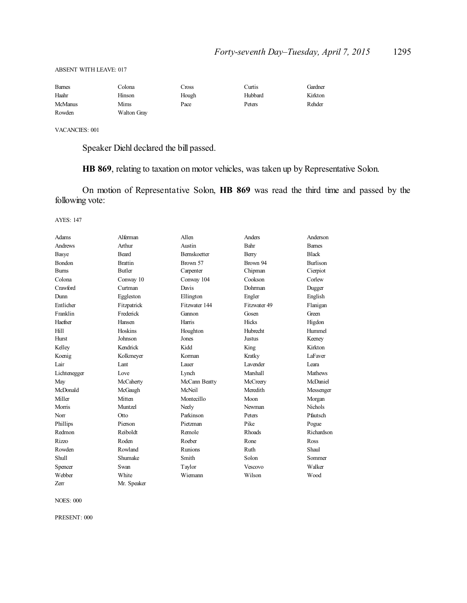| <b>Barnes</b>  | Colona      | Cross | Curtis  | Gardner |
|----------------|-------------|-------|---------|---------|
| Haahr          | Hinson      | Hough | Hubbard | Kirkton |
| <b>McManus</b> | Mims        | Pace  | Peters  | Rehder  |
| Rowden         | Walton Gray |       |         |         |

VACANCIES: 001

Speaker Diehl declared the bill passed.

**HB 869**, relating to taxation on motor vehicles, was taken up by Representative Solon.

On motion of Representative Solon, **HB 869** was read the third time and passed by the following vote:

AYES: 147

| Adams          | Alferman       | Allen               | Anders          | Anderson        |
|----------------|----------------|---------------------|-----------------|-----------------|
| <b>Andrews</b> | Arthur         | Austin              | Bahr            | <b>Bames</b>    |
| Basye          | <b>Beard</b>   | <b>Bernskoetter</b> | Berry           | <b>Black</b>    |
| <b>Bondon</b>  | <b>Brattin</b> | Brown 57            | Rrown 94        | <b>Burlison</b> |
| <b>Burns</b>   | <b>Butler</b>  | Carpenter           | Chipman         | Cierpiot        |
| Colona         | Conway 10      | Conway 104          | Cookson         | Corlew          |
| Crawford       | Curtman        | Davis               | Dohrman         | Dugger          |
| Dunn           | Eggleston      | Ellington           | Engler          | English         |
| Entlicher      | Fitzpatrick    | Fitzwater 144       | Fitzwater 49    | Flanigan        |
| Franklin       | Frederick      | Gannon              | Gosen           | Green           |
| Haefner        | Hansen         | Harris              | <b>Hicks</b>    | Higdon          |
| Hill           | Hoskins        | Houghton            | Hubrecht        | Hummel          |
| <b>Hurst</b>   | Johnson        | Jones               | <b>Justus</b>   | Keeney          |
| Kelley         | Kendrick       | Kidd                | King            | Kirkton         |
| Koenig         | Kolkmeyer      | Korman              | Kratky          | LaFaver         |
| Lair           | Lant           | Lauer               | <b>Lavender</b> | I eara          |
| Lichtenegger   | Love           | Lynch               | Marshall        | <b>Mathews</b>  |
| May            | McCaherty      | McCann Beatty       | McCreery        | McDaniel        |
| McDonald       | McGaugh        | McNeil              | Meredith        | Messenger       |
| Miller         | Mitten         | Montecillo          | Moon            | Morgan          |
| Morris         | Muntzel        | Neely               | Newman          | <b>Nichols</b>  |
| Norr           | Otto           | Parkinson           | Peters          | Pfautsch        |
| Phillips       | Pierson        | Pietzman            | Pike            | Pogue           |
| Redmon         | Reiboldt       | Remole              | <b>Rhoads</b>   | Richardson      |
| Rizzo          | Roden          | Roeber              | Rone            | Ross            |
| Rowden         | Rowland        | Runions             | Ruth            | Shaul           |
| <b>Shull</b>   | Shumake        | Smith               | Solon           | Sommer          |
| Spencer        | Swan           | Taylor              | Vescovo         | Walker          |
| Webber         | White          | Wiemann             | Wilson          | Wood            |
| Zerr           | Mr. Speaker    |                     |                 |                 |

NOES: 000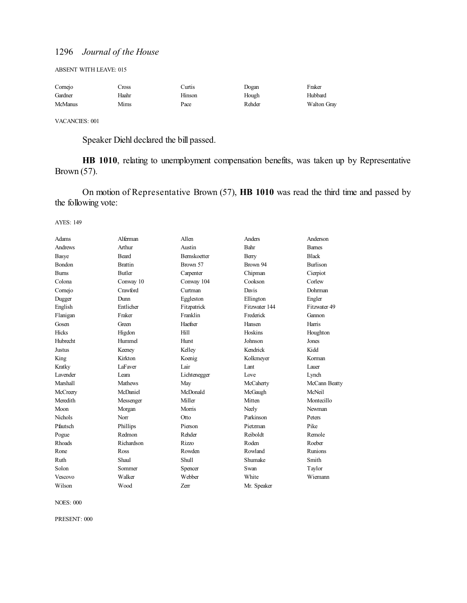ABSENT WITH LEAVE: 015

| Cornejo        | ross  | Curtis | Dogan  | Fraker      |
|----------------|-------|--------|--------|-------------|
| Gardner        | Haahr | Hinson | Hough  | Hubbard     |
| <b>McManus</b> | Mims  | Pace   | Rehder | Walton Gray |

VACANCIES: 001

Speaker Diehl declared the bill passed.

**HB 1010**, relating to unemployment compensation benefits, was taken up by Representative Brown (57).

On motion of Representative Brown (57), **HB 1010** was read the third time and passed by the following vote:

AYES: 149

| <b>Adams</b>    | Alferman       | Allen               | Anders        | Anderson        |
|-----------------|----------------|---------------------|---------------|-----------------|
| <b>Andrews</b>  | Arthur         | Austin              | Bahr          | <b>Bames</b>    |
| Basye           | Beard          | <b>Bernskoetter</b> | Berry         | <b>Black</b>    |
| Bondon          | <b>Brattin</b> | Brown 57            | Brown 94      | <b>Burlison</b> |
| <b>Burns</b>    | <b>Butler</b>  | Carpenter           | Chipman       | Cierpiot        |
| Colona          | Conway 10      | Conway 104          | Cookson       | Corlew          |
| Cornejo         | Crawford       | Curtman             | Davis         | <b>Dohrman</b>  |
| Dugger          | Dunn           | Eggleston           | Ellington     | Engler          |
| English         | Entlicher      | Fitzpatrick         | Fitzwater 144 | Fitzwater 49    |
| Flanigan        | Fraker         | Franklin            | Frederick     | Gannon          |
| Gosen           | Green          | Haefner             | Hansen        | Harris          |
| <b>Hicks</b>    | Higdon         | Hill                | Hoskins       | Houghton        |
| Hubrecht        | Hummel         | Hurst               | Johnson       | Jones           |
| Justus          | Keeney         | Kelley              | Kendrick      | Kidd            |
| King            | Kirkton        | Koenig              | Kolkmeyer     | Korman          |
| Kratky          | LaFaver        | Lair                | Lant          | Lauer           |
| <b>Lavender</b> | Leara          | Lichtenegger        | Love          | Lynch           |
| Marshall        | <b>Mathews</b> | May                 | McCaherty     | McCann Beatty   |
| McCreery        | McDaniel       | McDonald            | McGaugh       | <b>McNeil</b>   |
| Meredith        | Messenger      | Miller              | Mitten        | Montecillo      |
| Moon            | Morgan         | Morris              | Neely         | Newman          |
| Nichols         | Norr           | Otto                | Parkinson     | Peters          |
| Pfautsch        | Phillips       | Pierson             | Pietzman      | Pike            |
| Pogue           | Redmon         | Rehder              | Reiboldt      | Remole          |
| Rhoads          | Richardson     | <b>Rizzo</b>        | Roden         | Roeber          |
| Rone            | Ross           | Rowden              | Rowland       | Runions         |
| Ruth            | Shaul          | Shull               | Shumake       | Smith           |
| Solon           | Sommer         | Spencer             | Swan          | Taylor          |
| Vescovo         | Walker         | Webber              | White         | Wiemann         |
| Wilson          | Wood           | Zerr                | Mr. Speaker   |                 |

NOES: 000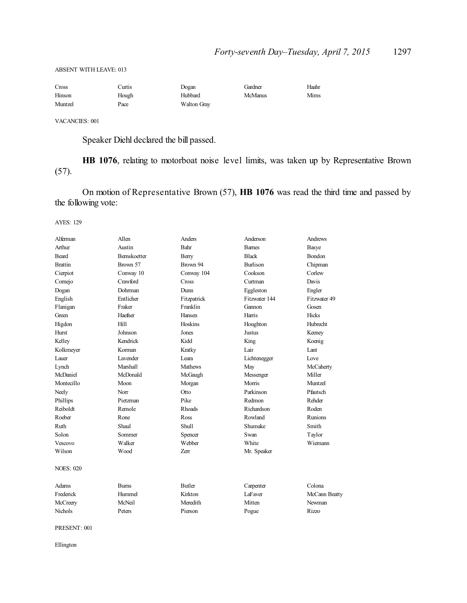| Cross   | Curtis | Dogan              | Gardner        | Haahr |
|---------|--------|--------------------|----------------|-------|
| Hinson  | Hough  | Hubbard            | <b>McManus</b> | Mims  |
| Muntzel | Pace   | <b>Walton Grav</b> |                |       |

VACANCIES: 001

Speaker Diehl declared the bill passed.

**HB 1076**, relating to motorboat noise level limits, was taken up by Representative Brown (57).

On motion of Representative Brown (57), **HB 1076** was read the third time and passed by the following vote:

AYES: 129

| Alferman         | Allen           | Anders         | Anderson        | Andrews       |
|------------------|-----------------|----------------|-----------------|---------------|
| Arthur           | Austin          | Bahr           | <b>Bames</b>    | Basye         |
| Beard            | Bernskoetter    | Berry          | <b>Black</b>    | Bondon        |
| <b>Brattin</b>   | Brown 57        | Brown 94       | <b>Burlison</b> | Chipman       |
| Cierpiot         | Conway 10       | Conway 104     | Cookson         | Corlew        |
| Cornejo          | Crawford        | Cross          | Curtman         | Davis         |
| Dogan            | Dohrman         | Dunn           | Eggleston       | Engler        |
| English          | Entlicher       | Fitzpatrick    | Fitzwater 144   | Fitzwater 49  |
| Flanigan         | Fraker          | Franklin       | Gannon          | Gosen         |
| Green            | Haefner         | Hansen         | Harris          | Hicks         |
| Higdon           | Hill            | Hoskins        | Houghton        | Hubrecht      |
| Hurst            | Johnson         | Jones          | <b>Justus</b>   | Keeney        |
| Kelley           | Kendrick        | Kidd           | King            | Koenig        |
| Kolkmeyer        | Korman          | Kratky         | Lair            | Lant          |
| Lauer            | <b>Lavender</b> | Leara          | Lichtenegger    | Love          |
| Lynch            | Marshall        | <b>Mathews</b> | May             | McCaherty     |
| McDaniel         | McDonald        | McGaugh        | Messenger       | Miller        |
| Montecillo       | Moon            | Morgan         | Morris          | Muntzel       |
| Neely            | Norr            | Otto           | Parkinson       | Pfautsch      |
| Phillips         | Pietzman        | Pike           | Redmon          | Rehder        |
| Reiboldt         | Remole          | Rhoads         | Richardson      | Roden         |
| Roeber           | Rone            | Ross           | Rowland         | Runions       |
| Ruth             | Shaul           | Shull          | Shumake         | Smith         |
| Solon            | Sommer          | Spencer        | Swan            | Taylor        |
| Vescovo          | Walker          | Webber         | White           | Wiemann       |
| Wilson           | Wood            | Zerr           | Mr. Speaker     |               |
| <b>NOES: 020</b> |                 |                |                 |               |
| Adams            | <b>Burns</b>    | <b>Butler</b>  | Carpenter       | Colona        |
| Frederick        | Hummel          | Kirkton        | LaFaver         | McCann Beatty |
| McCreery         | McNeil          | Meredith       | Mitten          | Newman        |
| Nichols          | Peters          | Pierson        | Pogue           | Rizzo         |

PRESENT: 001

Ellington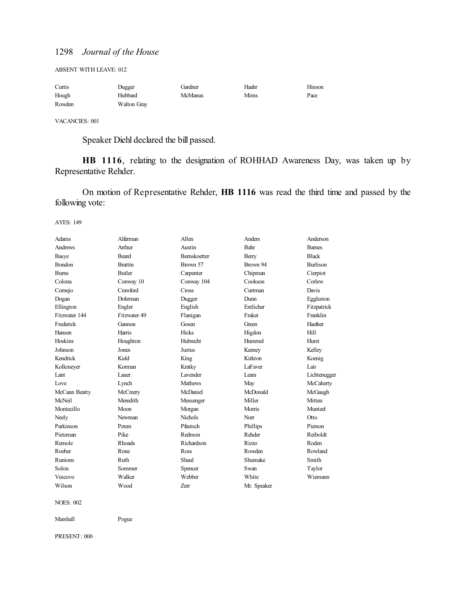ABSENT WITH LEAVE: 012

| Curtis | Dugger             | Gardner | Haahr | Hinson |
|--------|--------------------|---------|-------|--------|
| Hough  | Hubbard            | McManus | Mims  | Pace   |
| Rowden | <b>Walton Gray</b> |         |       |        |

VACANCIES: 001

Speaker Diehl declared the bill passed.

**HB 1116**, relating to the designation of ROHHAD Awareness Day, was taken up by Representative Rehder.

On motion of Representative Rehder, **HB 1116** was read the third time and passed by the following vote:

AYES: 149

| Adams          | Alferman       | Allen               | Anders      | Anderson        |
|----------------|----------------|---------------------|-------------|-----------------|
| <b>Andrews</b> | Arthur         | Austin              | Bahr        | <b>Bames</b>    |
| Basye          | <b>Beard</b>   | <b>Bernskoetter</b> | Berry       | <b>Black</b>    |
| <b>Bondon</b>  | <b>Brattin</b> | Brown 57            | Brown 94    | <b>Burlison</b> |
| <b>Burns</b>   | Butler         | Carpenter           | Chipman     | Cierpiot        |
| Colona         | Conway 10      | Conway 104          | Cookson     | Corlew          |
| Cornejo        | Crawford       | Cross               | Curtman     | Davis           |
| Dogan          | Dohrman        | Dugger              | Dunn        | Eggleston       |
| Ellington      | Engler         | English             | Entlicher   | Fitzpatrick     |
| Fitzwater 144  | Fitzwater 49   | Flanigan            | Fraker      | Franklin        |
| Frederick      | Gannon         | Gosen               | Green       | Haefner         |
| Hansen         | Harris         | Hicks               | Higdon      | Hill            |
| Hoskins        | Houghton       | Hubrecht            | Hummel      | <b>Hurst</b>    |
| Johnson        | Jones          | Justus              | Keeney      | Kelley          |
| Kendrick       | Kidd           | King                | Kirkton     | Koenig          |
| Kolkmeyer      | Korman         | Kratky              | LaFaver     | Lair            |
| Lant           | Lauer          | <b>Lavender</b>     | Leara       | Lichtenegger    |
| Love           | Lynch          | Mathews             | May         | McCaherty       |
| McCann Beatty  | McCreery       | McDaniel            | McDonald    | McGaugh         |
| McNeil         | Meredith       | Messenger           | Miller      | Mitten          |
| Montecillo     | Moon           | Morgan              | Morris      | Muntzel         |
| Neely          | Newman         | <b>Nichols</b>      | Norr        | Otto            |
| Parkinson      | Peters         | Pfautsch            | Phillips    | Pierson         |
| Pietzman       | Pike           | Redmon              | Rehder      | Reiboldt        |
| Remole         | <b>Rhoads</b>  | Richardson          | Rizzo       | Roden           |
| Roeber         | Rone           | Ross                | Rowden      | Rowland         |
| Runions        | Ruth           | Shaul               | Shumake     | Smith           |
| Solon          | Sommer         | Spencer             | Swan        | Taylor          |
| Vescovo        | Walker         | Webber              | White       | Wiemann         |
| Wilson         | Wood           | Zerr                | Mr. Speaker |                 |
|                |                |                     |             |                 |

NOES: 002

Marshall Pogue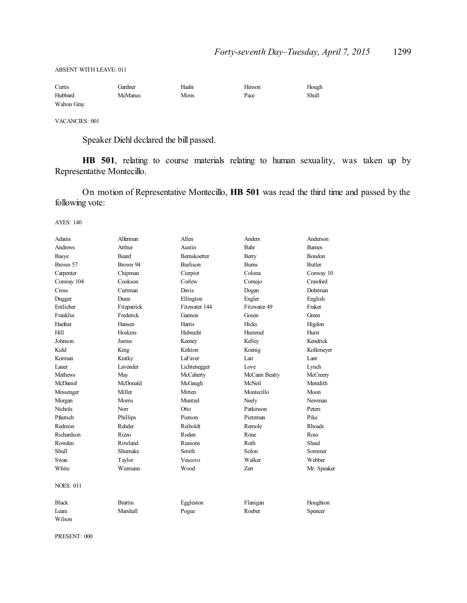| Curtis      | Jardner | Haahr | Hinson | Hough |
|-------------|---------|-------|--------|-------|
| Hubbard     | McManus | Mims  | Pace   | Shull |
| Walton Gray |         |       |        |       |

VACANCIES: 001

Speaker Diehl declared the bill passed.

**HB 501**, relating to course materials relating to human sexuality, was taken up by Representative Montecillo.

On motion of Representative Montecillo, **HB 501** was read the third time and passed by the following vote:

AYES: 140

| Adams            | Alferman        | Allen           | Anders        | Anderson      |
|------------------|-----------------|-----------------|---------------|---------------|
| <b>Andrews</b>   | Arthur          | Austin          | Bahr          | <b>Bames</b>  |
| Basye            | Beard           | Bernskoetter    | Berry         | Bondon        |
| Brown 57         | Brown 94        | <b>Burlison</b> | <b>Bums</b>   | <b>Butler</b> |
| Carpenter        | Chipman         | Cierpiot        | Colona        | Conway 10     |
| Conway 104       | Cookson         | Corlew          | Comejo        | Crawford      |
| Cross            | Curtman         | Davis           | Dogan         | Dohrman       |
| Dugger           | Dunn            | Ellington       | Engler        | English       |
| Entlicher        | Fitzpatrick     | Fitzwater 144   | Fitzwater 49  | Fraker        |
| Franklin         | Frederick       | Gannon          | Gosen         | Green         |
| Haefner          | Hansen          | Harris          | Hicks         | Higdon        |
| Hill             | Hoskins         | <b>Hubrecht</b> | Hummel        | Hurst         |
| Johnson          | Justus          | Keeney          | Kelley        | Kendrick      |
| Kidd             | King            | Kirkton         | Koenig        | Kolkmeyer     |
| Korman           | Kratky          | LaFaver         | Lair          | Lant          |
| Lauer            | <b>Lavender</b> | Lichtenegger    | Love          | Lynch         |
| <b>Mathews</b>   | May             | McCaherty       | McCann Beatty | McCreery      |
| McDaniel         | McDonald        | McGaugh         | McNeil        | Meredith      |
| Messenger        | Miller          | Mitten          | Montecillo    | Moon          |
| Morgan           | Morris          | Muntzel         | Neely         | Newman        |
| <b>Nichols</b>   | Norr            | Otto            | Parkinson     | Peters        |
| Pfautsch         | Phillips        | Pierson         | Pietzman      | Pike          |
| Redmon           | Rehder          | Reiboldt        | Remole        | <b>Rhoads</b> |
| Richardson       | Rizzo           | Roden           | Rone          | Ross          |
| Rowden           | Rowland         | Runions         | Ruth          | Shaul         |
| Shull            | Shumake         | Smith           | Solon         | Sommer        |
| Swan             | Taylor          | Vescovo         | Walker        | Webber        |
| White            | Wiemann         | Wood            | <b>Zerr</b>   | Mr. Speaker   |
| <b>NOES: 011</b> |                 |                 |               |               |
| <b>Black</b>     | <b>Brattin</b>  | Eggleston       | Flanigan      | Houghton      |
| Leara            | Marshall        | Pogue           | Roeber        | Spencer       |
| Wilson           |                 |                 |               |               |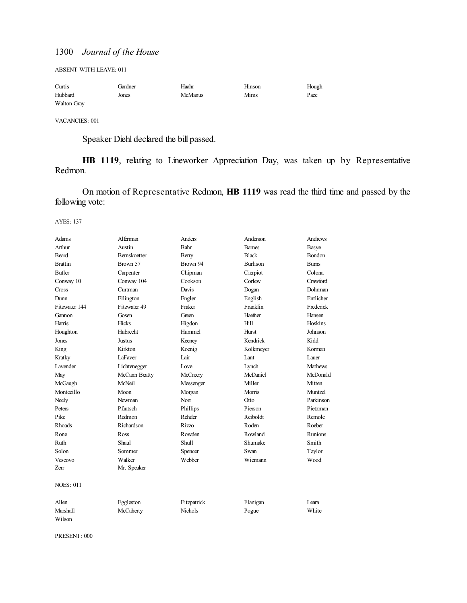ABSENT WITH LEAVE: 011

| Curtis             | Gardner | Haahr   | Hinson | Hough |
|--------------------|---------|---------|--------|-------|
| Hubbard            | Jones   | McManus | Mims   | Pace  |
| <b>Walton Gray</b> |         |         |        |       |

VACANCIES: 001

Speaker Diehl declared the bill passed.

**HB 1119**, relating to Lineworker Appreciation Day, was taken up by Representative Redmon.

On motion of Representative Redmon, **HB 1119** was read the third time and passed by the following vote:

AYES: 137

| Adams            | Alferman            | Anders      | Anderson        | Andrews        |
|------------------|---------------------|-------------|-----------------|----------------|
| Arthur           | Austin              | Bahr        | <b>Barnes</b>   | Basye          |
| <b>Beard</b>     | <b>Bernskoetter</b> | Berry       | <b>Black</b>    | Bondon         |
| <b>Brattin</b>   | Brown 57            | Brown 94    | <b>Burlison</b> | <b>Burns</b>   |
| <b>Butler</b>    | Carpenter           | Chipman     | Cierpiot        | Colona         |
| Conway 10        | Conway 104          | Cookson     | Corlew          | Crawford       |
| Cross            | Curtman             | Davis       | Dogan           | Dohrman        |
| Dunn             | Ellington           | Engler      | English         | Entlicher      |
| Fitzwater 144    | Fitzwater 49        | Fraker      | Franklin        | Frederick      |
| Gannon           | Gosen               | Green       | Haefner         | Hansen         |
| Harris           | Hicks               | Higdon      | Hill            | Hoskins        |
| Houghton         | Hubrecht            | Hummel      | <b>Hurst</b>    | Johnson        |
| Jones            | Justus              | Keeney      | Kendrick        | Kidd           |
| King             | Kirkton             | Koenig      | Kolkmeyer       | Korman         |
| Kratky           | LaFaver             | Lair        | Lant            | Lauer          |
| <b>Lavender</b>  | Lichtenegger        | Love        | Lynch           | <b>Mathews</b> |
| May              | McCann Beatty       | McCreery    | McDaniel        | McDonald       |
| McGaugh          | McNeil              | Messenger   | Miller          | Mitten         |
| Montecillo       | Moon                | Morgan      | Morris          | Muntzel        |
| Neely            | Newman              | Norr        | Otto            | Parkinson      |
| Peters           | Pfautsch            | Phillips    | Pierson         | Pietzman       |
| Pike             | Redmon              | Rehder      | Reiboldt        | Remole         |
| Rhoads           | Richardson          | Rizzo       | Roden           | Roeber         |
| Rone             | Ross                | Rowden      | Rowland         | Runions        |
| Ruth             | Shaul               | Shull       | Shumake         | Smith          |
| Solon            | Sommer              | Spencer     | Swan            | Taylor         |
| Vescovo          | Walker              | Webber      | Wiemann         | Wood           |
| Zerr             | Mr. Speaker         |             |                 |                |
| <b>NOES: 011</b> |                     |             |                 |                |
| Allen            | Eggleston           | Fitzpatrick | Flanigan        | Leara          |
| <b>Marshall</b>  | McCaherty           | Nichols     | Pogue           | White          |
| Wilson           |                     |             |                 |                |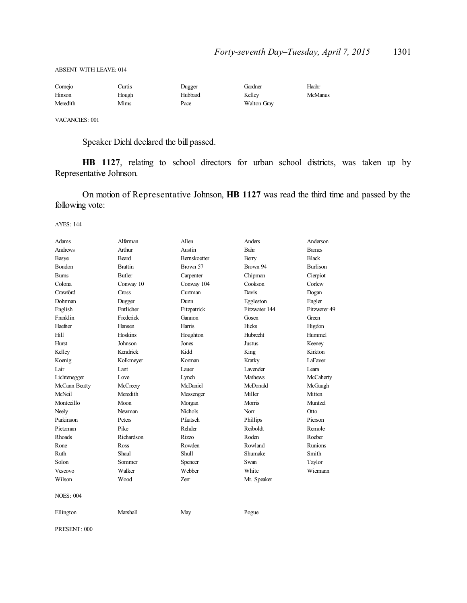| Comejo   | Curtis | Dugger  | Gardner            | Haahr          |
|----------|--------|---------|--------------------|----------------|
| Hinson   | Hough  | Hubbard | Kelley             | <b>McManus</b> |
| Meredith | Mims   | Pace    | <b>Walton Gray</b> |                |

VACANCIES: 001

Speaker Diehl declared the bill passed.

**HB 1127**, relating to school directors for urban school districts, was taken up by Representative Johnson.

On motion of Representative Johnson, **HB 1127** was read the third time and passed by the following vote:

AYES: 144

| Adams            | Alferman       | Allen               | Anders         | Anderson        |
|------------------|----------------|---------------------|----------------|-----------------|
| Andrews          | Arthur         | Austin              | Bahr           | <b>Bames</b>    |
| <b>Basye</b>     | <b>Beard</b>   | <b>Bernskoetter</b> | Berry          | <b>Black</b>    |
| Bondon           | <b>Brattin</b> | Brown 57            | Brown 94       | <b>Burlison</b> |
| <b>Burns</b>     | <b>Butler</b>  | Carpenter           | Chipman        | Cierpiot        |
| Colona           | Conway 10      | Conway 104          | Cookson        | Corlew          |
| Crawford         | Cross          | Curtman             | Davis          | Dogan           |
| Dohrman          | Dugger         | Dunn                | Eggleston      | Engler          |
| English          | Entlicher      | Fitzpatrick         | Fitzwater 144  | Fitzwater 49    |
| Franklin         | Frederick      | Gannon              | Gosen          | Green           |
| Haefner          | Hansen         | Harris              | <b>Hicks</b>   | Higdon          |
| Hill             | Hoskins        | Houghton            | Hubrecht       | Hummel          |
| Hurst            | Johnson        | Jones               | <b>Justus</b>  | Keeney          |
| Kelley           | Kendrick       | Kidd                | King           | Kirkton         |
| Koenig           | Kolkmeyer      | Korman              | Kratky         | LaFaver         |
| Lair             | Lant           | Lauer               | Lavender       | Leara           |
| Lichtenegger     | Love           | Lynch               | <b>Mathews</b> | McCaherty       |
| McCann Beatty    | McCreery       | McDaniel            | McDonald       | McGaugh         |
| McNeil           | Meredith       | Messenger           | Miller         | Mitten          |
| Montecillo       | Moon           | Morgan              | Morris         | Muntzel         |
| Neely            | Newman         | <b>Nichols</b>      | Norr           | Otto            |
| Parkinson        | Peters         | Pfautsch            | Phillips       | Pierson         |
| Pietzman         | Pike           | Rehder              | Reiboldt       | Remole          |
| Rhoads           | Richardson     | Rizzo               | Roden          | Roeber          |
| Rone             | <b>Ross</b>    | Rowden              | Rowland        | <b>Runions</b>  |
| Ruth             | Shaul          | <b>Shull</b>        | Shumake        | Smith           |
| Solon            | Sommer         | Spencer             | Swan           | Taylor          |
| Vescovo          | Walker         | Webber              | White          | Wiemann         |
| Wilson           | Wood           | Zerr                | Mr. Speaker    |                 |
| <b>NOES: 004</b> |                |                     |                |                 |
| Ellington        | Marshall       | May                 | Pogue          |                 |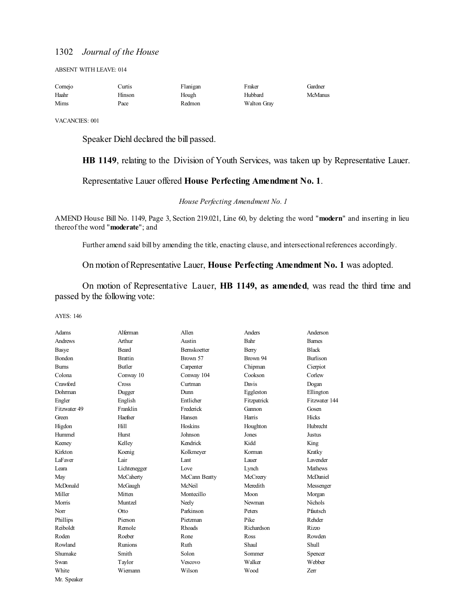ABSENT WITH LEAVE: 014

| Cornejo | Curtis | Flanigan | Fraker             | Gardner        |
|---------|--------|----------|--------------------|----------------|
| Haahr   | Hinson | Hough    | Hubbard            | <b>McManus</b> |
| Mims    | Pace   | Redmon   | <b>Walton Gray</b> |                |

VACANCIES: 001

Speaker Diehl declared the bill passed.

**HB 1149**, relating to the Division of Youth Services, was taken up by Representative Lauer.

### Representative Lauer offered **House Perfecting Amendment No. 1**.

### *House Perfecting Amendment No. 1*

AMEND House Bill No. 1149, Page 3, Section 219.021, Line 60, by deleting the word "**modern**" and inserting in lieu thereof the word "**moderate**"; and

Further amend said bill by amending the title, enacting clause, and intersectional references accordingly.

On motion of Representative Lauer, **House Perfecting Amendment No. 1** was adopted.

On motion of Representative Lauer, **HB 1149, as amended**, was read the third time and passed by the following vote:

| Adams        | Alferman       | Allen               | Anders      | Anderson        |
|--------------|----------------|---------------------|-------------|-----------------|
| Andrews      | Arthur         | Austin              | Bahr        | <b>Bames</b>    |
| Basye        | <b>Beard</b>   | <b>Bernskoetter</b> | Berry       | <b>Black</b>    |
| Bondon       | <b>Brattin</b> | Brown 57            | Brown 94    | <b>Burlison</b> |
| <b>Burns</b> | <b>Butler</b>  | Carpenter           | Chipman     | Cierpiot        |
| Colona       | Conway 10      | Conway 104          | Cookson     | Corlew          |
| Crawford     | Cross          | Curtman             | Davis       | Dogan           |
| Dohrman      | Dugger         | Dunn                | Eggleston   | Ellington       |
| Engler       | English        | Entlicher           | Fitzpatrick | Fitzwater 144   |
| Fitzwater 49 | Franklin       | Frederick           | Gannon      | Gosen           |
| Green        | Haefner        | Hansen              | Harris      | <b>Hicks</b>    |
| Higdon       | Hill           | Hoskins             | Houghton    | Hubrecht        |
| Hummel       | Hurst          | Johnson             | Jones       | Justus          |
| Keeney       | Kelley         | Kendrick            | Kidd        | King            |
| Kirkton      | Koenig         | Kolkmeyer           | Korman      | Kratky          |
| LaFaver      | Lair           | Lant                | Lauer       | Lavender        |
| I eara       | Lichtenegger   | Love                | Lynch       | <b>Mathews</b>  |
| May          | McCaherty      | McCann Beatty       | McCreery    | McDaniel        |
| McDonald     | McGaugh        | McNeil              | Meredith    | Messenger       |
| Miller       | Mitten         | Montecillo          | Moon        | Morgan          |
| Morris       | Muntzel        | Neely               | Newman      | <b>Nichols</b>  |
| Norr         | Otto           | Parkinson           | Peters      | Pfautsch        |
| Phillips     | Pierson        | Pietzman            | Pike        | Rehder          |
| Reiboldt     | Remole         | Rhoads              | Richardson  | Rizzo           |
| Roden        | Roeber         | Rone                | Ross        | Rowden          |
| Rowland      | Runions        | Ruth                | Shaul       | <b>Shull</b>    |
| Shumake      | Smith          | Solon               | Sommer      | Spencer         |
| Swan         | Taylor         | Vescovo             | Walker      | Webber          |
| White        | Wiemann        | Wilson              | Wood        | Zerr            |
| Mr. Speaker  |                |                     |             |                 |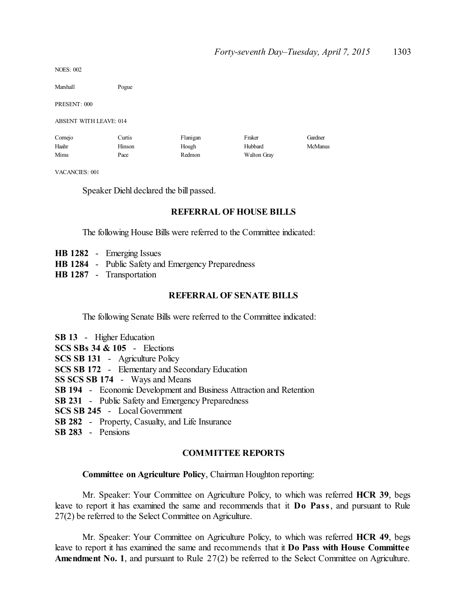NOES: 002

Marshall Pogue

PRESENT: 000

ABSENT WITH LEAVE: 014

| Comejo | Curtis | Flanigan | Fraker      | Gardner |
|--------|--------|----------|-------------|---------|
| Haahr  | Hinson | Hough    | Hubbard     | McManus |
| Mims   | Pace   | Redmon   | Walton Gray |         |

VACANCIES: 001

Speaker Diehl declared the bill passed.

### **REFERRAL OF HOUSE BILLS**

The following House Bills were referred to the Committee indicated:

|  | <b>HB</b> 1282 - Emerging Issues                          |
|--|-----------------------------------------------------------|
|  | <b>HB 1284</b> - Public Safety and Emergency Preparedness |
|  | HB 1287 - Transportation                                  |

# **REFERRAL OF SENATE BILLS**

The following Senate Bills were referred to the Committee indicated:

| <b>SB 194</b> - Economic Development and Business Attraction and Retention |
|----------------------------------------------------------------------------|
|                                                                            |
|                                                                            |
|                                                                            |
|                                                                            |

**SB 283** - Pensions

### **COMMITTEE REPORTS**

### **Committee on Agriculture Policy**, Chairman Houghton reporting:

Mr. Speaker: Your Committee on Agriculture Policy, to which was referred **HCR 39**, begs leave to report it has examined the same and recommends that it **Do Pass**, and pursuant to Rule 27(2) be referred to the Select Committee on Agriculture.

Mr. Speaker: Your Committee on Agriculture Policy, to which was referred **HCR 49**, begs leave to report it has examined the same and recommends that it **Do Pass with House Committee Amendment No. 1**, and pursuant to Rule 27(2) be referred to the Select Committee on Agriculture.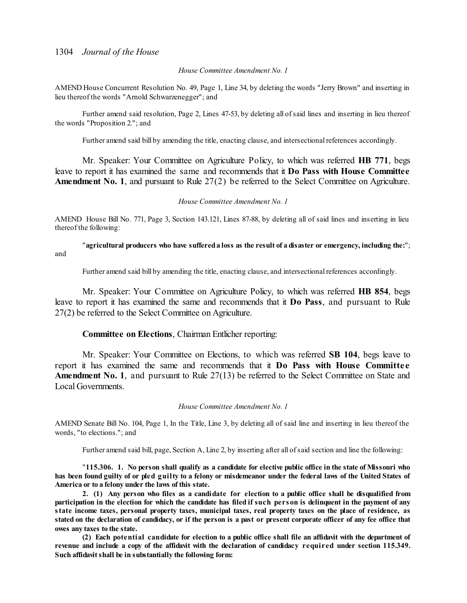#### *House Committee Amendment No. 1*

AMEND House Concurrent Resolution No. 49, Page 1, Line 34, by deleting the words "Jerry Brown" and inserting in lieu thereof the words "Arnold Schwarzenegger"; and

Further amend said resolution, Page 2, Lines 47-53, by deleting all ofsaid lines and inserting in lieu thereof the words "Proposition 2."; and

Further amend said bill by amending the title, enacting clause, and intersectional references accordingly.

Mr. Speaker: Your Committee on Agriculture Policy, to which was referred **HB 771**, begs leave to report it has examined the same and recommends that it **Do Pass with House Committee Amendment No. 1**, and pursuant to Rule 27(2) be referred to the Select Committee on Agriculture.

#### *House Committee Amendment No. 1*

AMEND House Bill No. 771, Page 3, Section 143.121, Lines 87-88, by deleting all of said lines and inserting in lieu thereof the following:

"**agricultural producers who have suffereda loss as the result of a disaster or emergency, including the:**"; and

Further amend said bill by amending the title, enacting clause, and intersectional references accordingly.

Mr. Speaker: Your Committee on Agriculture Policy, to which was referred **HB 854**, begs leave to report it has examined the same and recommends that it **Do Pass**, and pursuant to Rule 27(2) be referred to the Select Committee on Agriculture.

#### **Committee on Elections**, Chairman Entlicher reporting:

Mr. Speaker: Your Committee on Elections, to which was referred **SB 104**, begs leave to report it has examined the same and recommends that it **Do Pass with House Committe e Amendment No. 1**, and pursuant to Rule 27(13) be referred to the Select Committee on State and Local Governments.

#### *House Committee Amendment No. 1*

AMEND Senate Bill No. 104, Page 1, In the Title, Line 3, by deleting all of said line and inserting in lieu thereof the words, "to elections."; and

Further amend said bill, page, Section A, Line 2, by inserting after all ofsaid section and line the following:

"115.306. 1. No person shall qualify as a candidate for elective public office in the state of Missouri who has been found guilty of or pled guilty to a felony or misdemeanor under the federal laws of the United States of **America or to a felony under the laws of this state.**

2. (1) Any person who files as a candidate for election to a public office shall be disqualified from participation in the election for which the candidate has filed if such person is delinguent in the payment of any state income taxes, personal property taxes, municipal taxes, real property taxes on the place of residence, as stated on the declaration of candidacy, or if the person is a past or present corporate officer of any fee office that **owes any taxes to the state.**

(2) Each potential candidate for election to a public office shall file an affidavit with the department of revenue and include a copy of the affidavit with the declaration of candidacy required under section 115.349. **Such affidavitshall be in substantially the following form:**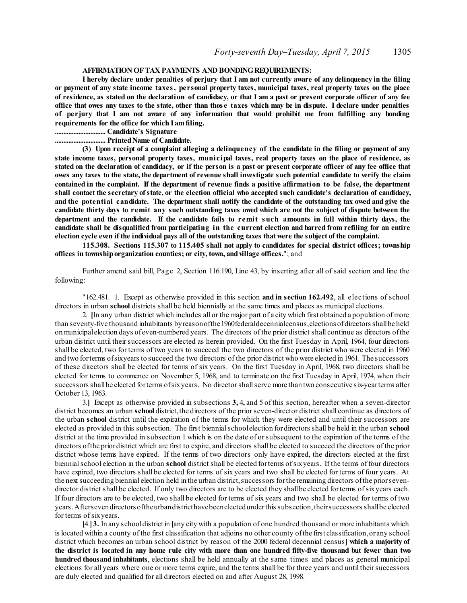#### **AFFIRMATION OFTAX PAYMENTS AND BONDINGREQUIREMENTS:**

I hereby declare under penalties of perjury that I am not currently aware of any delinquency in the filing or payment of any state income taxes, personal property taxes, municipal taxes, real property taxes on the place of residence, as stated on the declaration of candidacy, or that I am a past or present corporate officer of any fee office that owes any taxes to the state, other than those taxes which may be in dispute. I declare under penalties of perjury that I am not aware of any information that would prohibit me from fulfilling any bonding **requirements for the office for which I am filing.**

#### **.............................. Candidate's Signature**

**.............................. PrintedName of Candidate.**

(3) Upon receipt of a complaint alleging a delinquency of the candidate in the filing or payment of any state income taxes, personal property taxes, municipal taxes, real property taxes on the place of residence, as stated on the declaration of candidacy, or if the person is a past or present corporate officer of any fee office that owes any taxes to the state, the department of revenue shall investigate such potential candidate to verify the claim contained in the complaint. If the department of revenue finds a positive affirmation to be false, the department **shall contact the secretary ofstate, or the election official who accepted such candidate's declaration of candidacy,** and the potential candidate. The department shall notify the candidate of the outstanding tax owed and give the candidate thirty days to remit any such outstanding taxes owed which are not the subject of dispute between the department and the candidate. If the candidate fails to remit such amounts in full within thirty days, the candidate shall be disqualified from participating in the current election and barred from refiling for an entire election cycle even if the individual pays all of the outstanding taxes that were the subject of the complaint.

**115.308. Sections 115.307 to 115.405 shall not apply to candidates for special district offices; township offices in townshiporganization counties; or city, town, andvillage offices.**"; and

Further amend said bill, Page 2, Section 116.190, Line 43, by inserting after all of said section and line the following:

"162.481. 1. Except as otherwise provided in this section **and in section 162.492**, all elections of school directors in urban **school** districts shall be held biennially at the same times and places as municipal elections.

2. **[**In any urban district which includes all or the major part of a city which first obtained a population of more than seventy-five thousand inhabitants byreasonofthe1960federaldecennialcensus,elections ofdirectors shallbe held on municipalelection days of even-numbered years. The directors of the prior district shall continue as directors ofthe urban district until theirsuccessors are elected as herein provided. On the first Tuesday in April, 1964, four directors shall be elected, two for terms of two years to succeed the two directors of the prior district who were elected in 1960 and two forterms ofsixyears to succeed the two directors of the prior district who were elected in 1961. The successors of these directors shall be elected for terms of six years. On the first Tuesday in April, 1968, two directors shall be elected for terms to commence on November 5, 1968, and to terminate on the first Tuesday in April, 1974, when their successors shallbe elected forterms ofsixyears. No directorshallserve more than two consecutive six-yearterms after October 13, 1963.

3.**]** Except as otherwise provided in subsections **3,** 4**,** and 5 of this section, hereafter when a seven-director district becomes an urban **school** district, the directors of the prior seven-director district shall continue as directors of the urban **school** district until the expiration of the terms for which they were elected and until their successors are elected as provided in this subsection. The first biennialschoolelection fordirectors shall be held in the urban **school** district at the time provided in subsection 1 which is on the date of orsubsequent to the expiration of the terms of the directors ofthe priordistrict which are first to expire, and directors shall be elected to succeed the directors of the prior district whose terms have expired. If the terms of two directors only have expired, the directors elected at the first biennialschool election in the urban **school** district shall be elected forterms ofsixyears. If the terms of four directors have expired, two directors shall be elected for terms of six years and two shall be elected for terms of four years. At the next succeeding biennial election held in the urban district, successors for the remaining directors of the prior sevendirector district shall be elected. If only two directors are to be elected they shallbe elected forterms ofsixyears each. If four directors are to be elected, two shall be elected for terms of six years and two shall be elected for terms of two years.Aftersevendirectors oftheurbandistricthave beenelectedunderthis subsection,theirsuccessors shallbe elected for terms of sixyears.

**[**4.**]3.** In any schooldistrict in **[**any city with a population of one hundred thousand or more inhabitants which is located within a county of the first classification that adjoins no other county ofthe first classification,or any school district which becomes an urban school district by reason of the 2000 federal decennial census**] which a majority of** the district is located in any home rule city with more than one hundred fifty-five thousand but fewer than two **hundred thousand inhabitants**, elections shall be held annually at the same times and places as general municipal elections for all years where one or more terms expire, and the terms shall be for three years and until theirsuccessors are duly elected and qualified for all directors elected on and after August 28, 1998.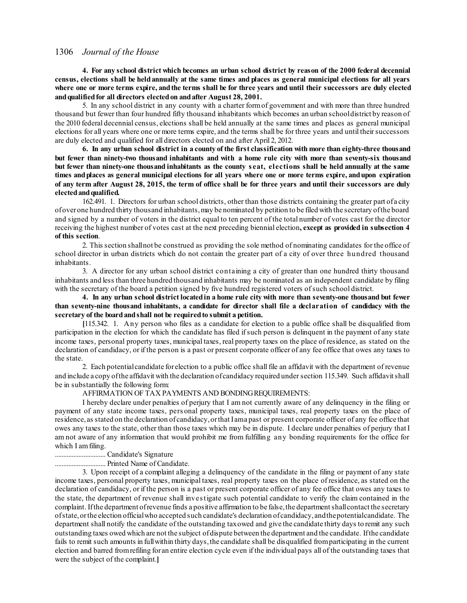4. For any school district which becomes an urban school district by reason of the 2000 federal decennial census, elections shall be held annually at the same times and places as general municipal elections for all years where one or more terms expire, and the terms shall be for three years and until their successors are duly elected **andqualifiedfor all directors electedon andafter August 28, 2001.**

5. In any school district in any county with a charter formof government and with more than three hundred thousand but fewer than four hundred fifty thousand inhabitants which becomes an urban schooldistrict by reason of the 2010 federal decennial census, elections shall be held annually at the same times and places as general municipal elections for all years where one or more terms expire, and the terms shall be for three years and until theirsuccessors are duly elected and qualified for all directors elected on and after April 2, 2012.

6. In any urban school district in a county of the first classification with more than eighty-three thous and but fewer than ninety-two thousand inhabitants and with a home rule city with more than seventy-six thousand but fewer than ninety-one thous and inhabitants as the county seat, elections shall be held annually at the same times and places as general municipal elections for all years where one or more terms expire, and upon expiration of any term after August 28, 2015, the term of office shall be for three years and until their successors are duly **electedandqualified.**

162.491. 1. Directors for urban school districts, other than those districts containing the greater part ofa city of over one hundred thirty thousand inhabitants, may be nominated by petition to be filed with the secretary of the board and signed by a number of voters in the district equal to ten percent of the total number of votes cast for the director receiving the highest number of votes cast at the next preceding biennial election**, except as provided in subsection 4 of this section**.

2. This section shallnot be construed as providing the sole method of nominating candidates for the office of school director in urban districts which do not contain the greater part of a city of over three hundred thousand inhabitants.

3. A director for any urban school district containing a city of greater than one hundred thirty thousand inhabitants and less than three hundred thousand inhabitants may be nominated as an independent candidate by filing with the secretary of the board a petition signed by five hundred registered voters of such school district.

4. In any urban school district located in a home rule city with more than seventy-one thous and but fewer **than seventy-nine thousand inhabitants, a candidate for director shall file a declaration of candidacy with the secretary of the boardandshall not be requiredto submit a petition.**

**[**115.342. 1. Any person who files as a candidate for election to a public office shall be disqualified from participation in the election for which the candidate has filed ifsuch person is delinquent in the payment of any state income taxes, personal property taxes, municipal taxes, real property taxes on the place of residence, as stated on the declaration of candidacy, or if the person is a past or present corporate officer of any fee office that owes any taxes to the state.

2. Each potentialcandidate forelection to a public office shall file an affidavit with the department of revenue and include a copy ofthe affidavit with the declaration of candidacy required undersection 115.349. Such affidavitshall be in substantially the following form:

AFFIRMATION OF TAX PAYMENTS AND BONDINGREQUIREMENTS:

I hereby declare under penalties of perjury that I am not currently aware of any delinquency in the filing or payment of any state income taxes, pers onal property taxes, municipal taxes, real property taxes on the place of residence, as stated on the declaration of candidacy,orthat Iama past or present corporate officer of any fee office that owes any taxes to the state, other than those taxes which may be in dispute. I declare under penalties of perjury that I am not aware of any information that would prohibit me from fulfilling any bonding requirements for the office for which I amfiling.

.............................. Candidate's Signature

.............................. Printed Name of Candidate.

3. Upon receipt of a complaint alleging a delinquency of the candidate in the filing or payment of any state income taxes, personal property taxes, municipal taxes, real property taxes on the place of residence, as stated on the declaration of candidacy, or if the person is a past or present corporate officer of any fee office that owes any taxes to the state, the department of revenue shall investigate such potential candidate to verify the claim contained in the complaint. If the department of revenue finds a positive affirmation to be false, the department shall contact the secretary ofstate,orthe election officialwho accepted such candidate's declaration of candidacy, andthepotentialcandidate. The department shall notify the candidate of the outstanding taxowed and give the candidate thirty days to remit any such outstanding taxes owed which are not the subject ofdispute between the department and the candidate. Ifthe candidate fails to remit such amounts in fullwithin thirty days,the candidate shall be disqualified fromparticipating in the current election and barred fromrefiling for an entire election cycle even if the individual pays all of the outstanding taxes that were the subject of the complaint.**]**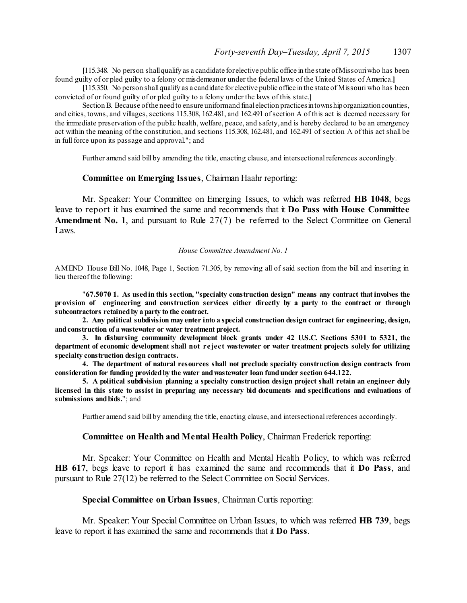**[**115.348. No person shallqualify as a candidate forelective public office in the state ofMissouriwho has been found guilty of or pled guilty to a felony or misdemeanor under the federal laws of the United States of America.**]**

**[**115.350. No person shallqualify as a candidate forelective public office in the state of Missouri who has been convicted of or found guilty of or pled guilty to a felony under the laws of this state.**]**

Section B. Because ofthe need to ensure uniformand finalelection practicesintownshiporganizationcounties, and cities, towns, and villages, sections 115.308, 162.481, and 162.491 of section A of this act is deemed necessary for the immediate preservation of the public health, welfare, peace, and safety, and is hereby declared to be an emergency act within the meaning of the constitution, and sections 115.308, 162.481, and 162.491 of section A of this act shall be in full force upon its passage and approval."; and

Further amend said bill by amending the title, enacting clause, and intersectional references accordingly.

#### **Committee on Emerging Issues**, Chairman Haahr reporting:

Mr. Speaker: Your Committee on Emerging Issues, to which was referred **HB 1048**, begs leave to report it has examined the same and recommends that it **Do Pass with House Committee** Amendment No. 1, and pursuant to Rule 27(7) be referred to the Select Committee on General Laws.

#### *House Committee Amendment No. 1*

AMEND House Bill No. 1048, Page 1, Section 71.305, by removing all of said section from the bill and inserting in lieu thereof the following:

"**67.5070 1. As usedin this section, "specialty construction design" means any contract that involves the provision of engineering and construction services either directly by a party to the contract or through subcontractors retainedby a party to the contract.**

**2. Any political subdivision may enter into a special construction design contract for engineering, design, andconstruction of a wastewater or water treatment project.**

**3. In disbursing community development block grants under 42 U.S.C. Sections 5301 to 5321, the department of economic development shall not reject wastewater or water treatment projects solely for utilizing specialty construction design contracts.**

**4. The department of natural resources shall not preclude specialty construction design contracts from consideration for funding providedby the water andwastewater loan fundunder section 644.122.**

**5. A political subdivision planning a specialty construction design project shall retain an engineer duly** licensed in this state to assist in preparing any necessary bid documents and specifications and evaluations of **submissions andbids.**"; and

Further amend said bill by amending the title, enacting clause, and intersectional references accordingly.

#### **Committee on Health and Mental Health Policy**, Chairman Frederick reporting:

Mr. Speaker: Your Committee on Health and Mental Health Policy, to which was referred **HB 617**, begs leave to report it has examined the same and recommends that it **Do Pass**, and pursuant to Rule 27(12) be referred to the Select Committee on Social Services.

**Special Committee on Urban Issues**, Chairman Curtis reporting:

Mr. Speaker: Your SpecialCommittee on Urban Issues, to which was referred **HB 739**, begs leave to report it has examined the same and recommends that it **Do Pass**.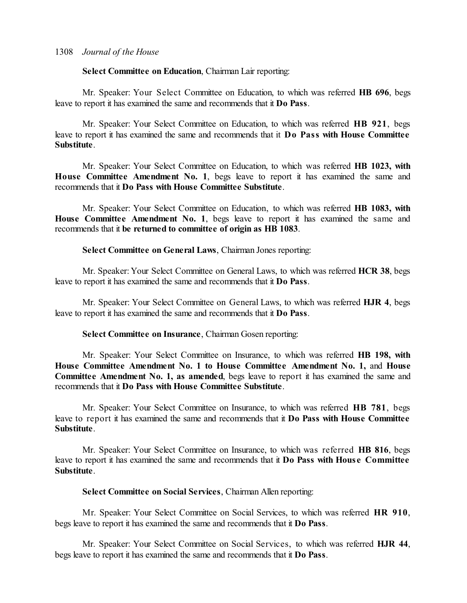# **Select Committee on Education**, Chairman Lair reporting:

Mr. Speaker: Your Select Committee on Education, to which was referred **HB 696**, begs leave to report it has examined the same and recommends that it **Do Pass**.

Mr. Speaker: Your Select Committee on Education, to which was referred **HB 921**, begs leave to report it has examined the same and recommends that it **Do Pass with House Committee Substitute**.

Mr. Speaker: Your Select Committee on Education, to which was referred **HB 1023, with House Committee Amendment No. 1**, begs leave to report it has examined the same and recommends that it **Do Pass with House Committee Substitute**.

Mr. Speaker: Your Select Committee on Education, to which was referred **HB 1083, with House Committee Amendment No. 1**, begs leave to report it has examined the same and recommends that it **be returned to committee of origin as HB 1083**.

### **Select Committee on General Laws**, Chairman Jones reporting:

Mr. Speaker: Your Select Committee on General Laws, to which was referred **HCR 38**, begs leave to report it has examined the same and recommends that it **Do Pass**.

Mr. Speaker: Your Select Committee on General Laws, to which was referred **HJR 4**, begs leave to report it has examined the same and recommends that it **Do Pass**.

#### **Select Committee on Insurance**, Chairman Gosen reporting:

Mr. Speaker: Your Select Committee on Insurance, to which was referred **HB 198, with House Committee Amendment No. 1 to House Committee Amendment No. 1,** and **House Committee Amendment No. 1, as amended**, begs leave to report it has examined the same and recommends that it **Do Pass with House Committee Substitute**.

Mr. Speaker: Your Select Committee on Insurance, to which was referred **HB 781**, begs leave to report it has examined the same and recommends that it **Do Pass with House Committee Substitute**.

Mr. Speaker: Your Select Committee on Insurance, to which was referred **HB 816**, begs leave to report it has examined the same and recommends that it **Do Pass with Hous e Committee Substitute**.

### **Select Committee on Social Services**, Chairman Allen reporting:

Mr. Speaker: Your Select Committee on Social Services, to which was referred **HR 910**, begs leave to report it has examined the same and recommends that it **Do Pass**.

Mr. Speaker: Your Select Committee on Social Services, to which was referred **HJR 44**, begs leave to report it has examined the same and recommends that it **Do Pass**.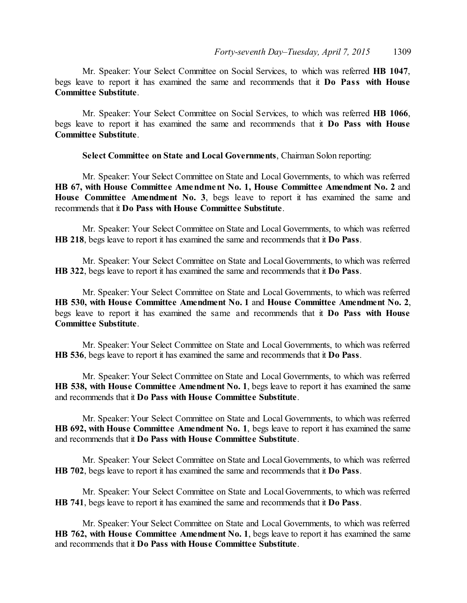Mr. Speaker: Your Select Committee on Social Services, to which was referred **HB 1047**, begs leave to report it has examined the same and recommends that it **Do Pass with House Committee Substitute**.

Mr. Speaker: Your Select Committee on Social Services, to which was referred **HB 1066**, begs leave to report it has examined the same and recommends that it **Do Pass with House Committee Substitute**.

**Select Committee on State and Local Governments**, Chairman Solon reporting:

Mr. Speaker: Your Select Committee on State and Local Governments, to which was referred **HB 67, with House Committee Amendment No. 1, House Committee Amendment No. 2** and **House Committee Amendment No. 3**, begs leave to report it has examined the same and recommends that it **Do Pass with House Committee Substitute**.

Mr. Speaker: Your Select Committee on State and Local Governments, to which was referred **HB 218**, begs leave to report it has examined the same and recommends that it **Do Pass**.

Mr. Speaker: Your Select Committee on State and Local Governments, to which was referred **HB 322**, begs leave to report it has examined the same and recommends that it **Do Pass**.

Mr. Speaker: Your Select Committee on State and Local Governments, to which was referred **HB 530, with House Committee Amendment No. 1** and **House Committee Amendment No. 2**, begs leave to report it has examined the same and recommends that it **Do Pass with House Committee Substitute**.

Mr. Speaker: Your Select Committee on State and Local Governments, to which was referred **HB 536**, begs leave to report it has examined the same and recommends that it **Do Pass**.

Mr. Speaker: Your Select Committee on State and Local Governments, to which was referred **HB 538, with House Committee Amendment No. 1**, begs leave to report it has examined the same and recommends that it **Do Pass with House Committee Substitute**.

Mr. Speaker: Your Select Committee on State and Local Governments, to which was referred **HB 692, with House Committee Amendment No. 1**, begs leave to report it has examined the same and recommends that it **Do Pass with House Committee Substitute**.

Mr. Speaker: Your Select Committee on State and Local Governments, to which was referred **HB 702**, begs leave to report it has examined the same and recommends that it **Do Pass**.

Mr. Speaker: Your Select Committee on State and Local Governments, to which was referred **HB 741**, begs leave to report it has examined the same and recommends that it **Do Pass**.

Mr. Speaker: Your Select Committee on State and Local Governments, to which was referred **HB 762, with House Committee Amendment No. 1**, begs leave to report it has examined the same and recommends that it **Do Pass with House Committee Substitute**.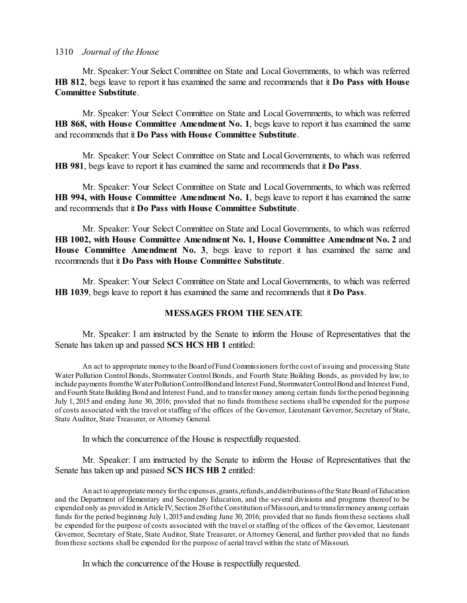Mr. Speaker: Your Select Committee on State and Local Governments, to which was referred **HB 812**, begs leave to report it has examined the same and recommends that it **Do Pass with House Committee Substitute**.

Mr. Speaker: Your Select Committee on State and Local Governments, to which was referred **HB 868, with House Committee Amendment No. 1**, begs leave to report it has examined the same and recommends that it **Do Pass with House Committee Substitute**.

Mr. Speaker: Your Select Committee on State and Local Governments, to which was referred **HB 981**, begs leave to report it has examined the same and recommends that it **Do Pass**.

Mr. Speaker: Your Select Committee on State and Local Governments, to which was referred **HB 994, with House Committee Amendment No. 1**, begs leave to report it has examined the same and recommends that it **Do Pass with House Committee Substitute**.

Mr. Speaker: Your Select Committee on State and Local Governments, to which was referred **HB 1002, with House Committee Amendment No. 1, House Committee Amendment No. 2** and **House Committee Amendment No. 3**, begs leave to report it has examined the same and recommends that it **Do Pass with House Committee Substitute**.

Mr. Speaker: Your Select Committee on State and Local Governments, to which was referred **HB 1039**, begs leave to report it has examined the same and recommends that it **Do Pass**.

# **MESSAGES FROM THE SENATE**

Mr. Speaker: I am instructed by the Senate to inform the House of Representatives that the Senate has taken up and passed **SCS HCS HB 1** entitled:

An act to appropriate money to the Board of Fund Commissioners for the cost of issuing and processing State Water Pollution Control Bonds, Stormwater Control Bonds, and Fourth State Building Bonds, as provided by law, to include payments from the Water Pollution ControlBond and Interest Fund, Stormwater Control Bond and Interest Fund, and Fourth State Building Bond and Interest Fund, and to transfer money among certain funds for the period beginning July 1, 2015 and ending June 30, 2016; provided that no funds fromthese sections shall be expended for the purpose of costs associated with the travel orstaffing of the offices of the Governor, Lieutenant Governor, Secretary of State, State Auditor, State Treasurer, or Attorney General.

In which the concurrence of the House is respectfully requested.

Mr. Speaker: I am instructed by the Senate to inform the House of Representatives that the Senate has taken up and passed **SCS HCS HB 2** entitled:

An act to appropriate money for the expenses, grants, refunds, and distributions of the State Board of Education and the Department of Elementary and Secondary Education, and the several divisions and programs thereof to be expended only as provided in Article IV, Section 28 of the Constitution of Missouri, and to transfermoney among certain funds for the period beginning July 1,2015and ending June 30, 2016; provided that no funds fromthese sections shall be expended for the purpose of costs associated with the travel orstaffing of the offices of the Governor, Lieutenant Governor, Secretary of State, State Auditor, State Treasurer, or Attorney General, and further provided that no funds fromthese sections shall be expended for the purpose of aerial travel within the state of Missouri.

In which the concurrence of the House is respectfully requested.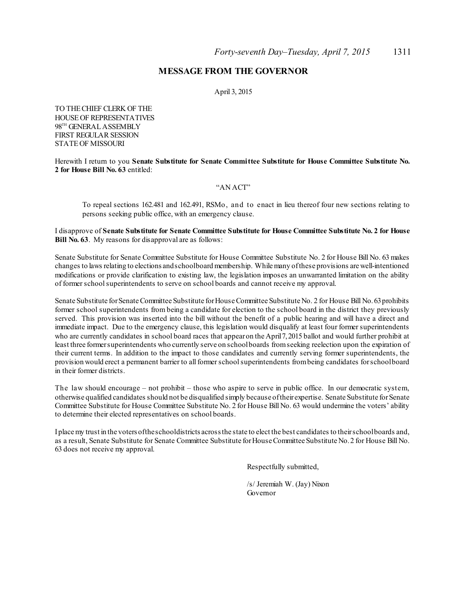# **MESSAGE FROM THE GOVERNOR**

April 3, 2015

TO THECHIEF CLERK OF THE HOUSEOF REPRESENTATIVES 98TH GENERAL ASSEMBLY FIRST REGULAR SESSION STATEOF MISSOURI

Herewith I return to you **Senate Substitute for Senate Committee Substitute for House Committee Substitute No. 2 for House Bill No. 63** entitled:

#### "AN ACT"

To repeal sections 162.481 and 162.491, RSMo, and to enact in lieu thereof four new sections relating to persons seeking public office, with an emergency clause.

I disapprove of **Senate Substitute for Senate Committee Substitute for House Committee Substitute No. 2 for House Bill No. 63**. My reasons for disapproval are as follows:

Senate Substitute for Senate Committee Substitute for House Committee Substitute No. 2 for House Bill No. 63 makes changes to laws relating to elections andschoolboard membership. Whilemany ofthese provisions are well-intentioned modifications or provide clarification to existing law, the legislation imposes an unwarranted limitation on the ability of formerschoolsuperintendents to serve on school boards and cannot receive my approval.

Senate Substitute for Senate Committee Substitute for House Committee Substitute No. 2 for House Bill No. 63 prohibits former school superintendents from being a candidate for election to the school board in the district they previously served. This provision was inserted into the bill without the benefit of a public hearing and will have a direct and immediate impact. Due to the emergency clause, this legislation would disqualify at least four former superintendents who are currently candidates in school board races that appearon the April7,2015 ballot and would further prohibit at least three formersuperintendents who currently serve on schoolboards fromseeking reelection upon the expiration of their current terms. In addition to the impact to those candidates and currently serving former superintendents, the provision would erect a permanent barrier to allformerschoolsuperintendents frombeing candidates forschoolboard in their former districts.

The law should encourage – not prohibit – those who aspire to serve in public office. In our democratic system, otherwise qualified candidates should not be disqualified simply because oftheir expertise. Senate Substitute forSenate Committee Substitute for House Committee Substitute No. 2 for House Bill No. 63 would undermine the voters' ability to determine their elected representatives on school boards.

Iplacemy trust in the voters oftheschooldistricts acrossthe state to elect the best candidates to theirschoolboards and, as a result, Senate Substitute for Senate Committee Substitute forHouse Committee Substitute No.2 for House Bill No. 63 does not receive my approval.

Respectfully submitted,

/s/ Jeremiah W. (Jay) Nixon Governor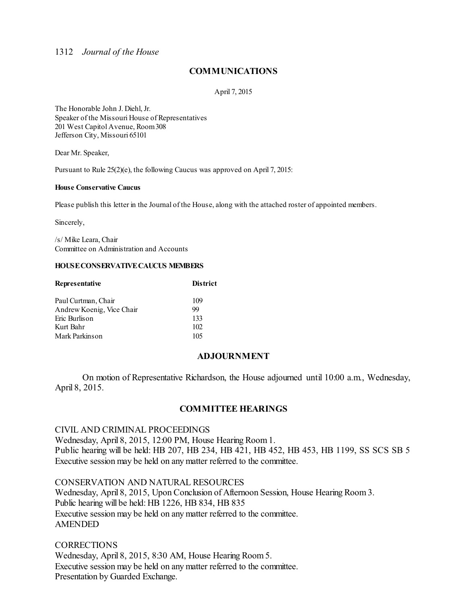# **COMMUNICATIONS**

April 7, 2015

The Honorable John J. Diehl, Jr. Speaker of the Missouri House of Representatives 201 West Capitol Avenue, Room308 Jefferson City, Missouri 65101

Dear Mr. Speaker,

Pursuant to Rule 25(2)(e), the following Caucus was approved on April 7, 2015:

#### **House Conservative Caucus**

Please publish this letter in the Journal of the House, along with the attached roster of appointed members.

Sincerely,

/s/ Mike Leara, Chair Committee on Administration and Accounts

#### **HOUSECONSERVATIVECAUCUS MEMBERS**

| <b>Representative</b>     | <b>District</b> |  |
|---------------------------|-----------------|--|
| Paul Curtman, Chair       | 109             |  |
| Andrew Koenig, Vice Chair | 99              |  |
| Eric Burlison             | 133             |  |
| Kurt Bahr                 | 102             |  |
| Mark Parkinson            | 105             |  |

# **ADJOURNMENT**

On motion of Representative Richardson, the House adjourned until 10:00 a.m., Wednesday, April 8, 2015.

# **COMMITTEE HEARINGS**

# CIVIL AND CRIMINAL PROCEEDINGS Wednesday, April 8, 2015, 12:00 PM, House Hearing Room1. Public hearing will be held: HB 207, HB 234, HB 421, HB 452, HB 453, HB 1199, SS SCS SB 5 Executive session may be held on any matter referred to the committee.

CONSERVATION AND NATURAL RESOURCES Wednesday, April 8, 2015, Upon Conclusion of Afternoon Session, House Hearing Room 3. Public hearing will be held: HB 1226, HB 834, HB 835 Executive session may be held on any matter referred to the committee. AMENDED

# **CORRECTIONS**

Wednesday, April 8, 2015, 8:30 AM, House Hearing Room5. Executive session may be held on any matter referred to the committee. Presentation by Guarded Exchange.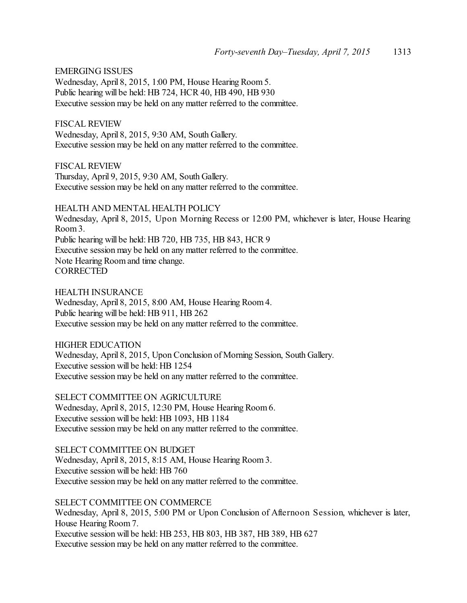EMERGING ISSUES

Wednesday, April 8, 2015, 1:00 PM, House Hearing Room 5. Public hearing will be held: HB 724, HCR 40, HB 490, HB 930 Executive session may be held on any matter referred to the committee.

FISCAL REVIEW Wednesday, April 8, 2015, 9:30 AM, South Gallery. Executive session may be held on any matter referred to the committee.

FISCAL REVIEW Thursday, April 9, 2015, 9:30 AM, South Gallery. Executive session may be held on any matter referred to the committee.

HEALTH AND MENTAL HEALTH POLICY Wednesday, April 8, 2015, Upon Morning Recess or 12:00 PM, whichever is later, House Hearing Room 3. Public hearing will be held: HB 720, HB 735, HB 843, HCR 9 Executive session may be held on any matter referred to the committee.

Note Hearing Room and time change. **CORRECTED** 

HEALTH INSURANCE Wednesday, April 8, 2015, 8:00 AM, House Hearing Room4. Public hearing will be held: HB 911, HB 262 Executive session may be held on any matter referred to the committee.

HIGHER EDUCATION Wednesday, April 8, 2015, Upon Conclusion of Morning Session, South Gallery. Executive session will be held: HB 1254 Executive session may be held on any matter referred to the committee.

SELECT COMMITTEE ON AGRICULTURE Wednesday, April 8, 2015, 12:30 PM, House Hearing Room6. Executive session will be held: HB 1093, HB 1184 Executive session may be held on any matter referred to the committee.

SELECT COMMITTEE ON BUDGET Wednesday, April 8, 2015, 8:15 AM, House Hearing Room3. Executive session will be held: HB 760 Executive session may be held on any matter referred to the committee.

SELECT COMMITTEE ON COMMERCE Wednesday, April 8, 2015, 5:00 PM or Upon Conclusion of Afternoon Session, whichever is later, House Hearing Room 7. Executive session will be held: HB 253, HB 803, HB 387, HB 389, HB 627 Executive session may be held on any matter referred to the committee.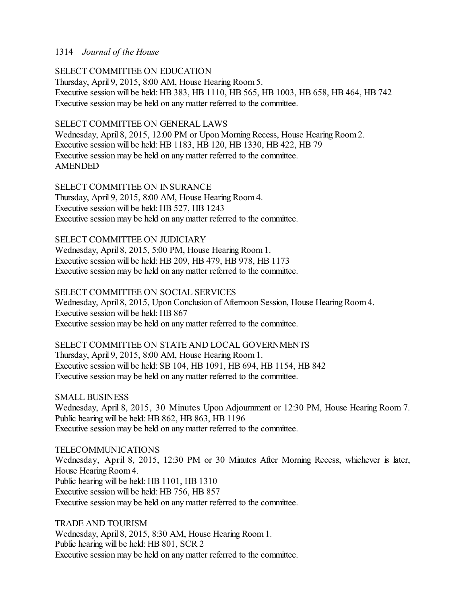SELECT COMMITTEE ON EDUCATION Thursday, April 9, 2015, 8:00 AM, House Hearing Room 5. Executive session will be held: HB 383, HB 1110, HB 565, HB 1003, HB 658, HB 464, HB 742 Executive session may be held on any matter referred to the committee.

# SELECT COMMITTEE ON GENERAL LAWS

Wednesday, April 8, 2015, 12:00 PM or Upon Morning Recess, House Hearing Room2. Executive session will be held: HB 1183, HB 120, HB 1330, HB 422, HB 79 Executive session may be held on any matter referred to the committee. AMENDED

SELECT COMMITTEE ON INSURANCE Thursday, April 9, 2015, 8:00 AM, House Hearing Room 4. Executive session will be held: HB 527, HB 1243 Executive session may be held on any matter referred to the committee.

SELECT COMMITTEE ON JUDICIARY Wednesday, April 8, 2015, 5:00 PM, House Hearing Room 1. Executive session will be held: HB 209, HB 479, HB 978, HB 1173 Executive session may be held on any matter referred to the committee.

### SELECT COMMITTEE ON SOCIAL SERVICES

Wednesday, April 8, 2015, Upon Conclusion of Afternoon Session, House Hearing Room 4. Executive session will be held: HB 867 Executive session may be held on any matter referred to the committee.

SELECT COMMITTEE ON STATE AND LOCAL GOVERNMENTS Thursday, April 9, 2015, 8:00 AM, House Hearing Room 1. Executive session will be held: SB 104, HB 1091, HB 694, HB 1154, HB 842 Executive session may be held on any matter referred to the committee.

SMALL BUSINESS Wednesday, April 8, 2015, 30 Minutes Upon Adjournment or 12:30 PM, House Hearing Room 7. Public hearing will be held: HB 862, HB 863, HB 1196 Executive session may be held on any matter referred to the committee.

TELECOMMUNICATIONS Wednesday, April 8, 2015, 12:30 PM or 30 Minutes After Morning Recess, whichever is later, House Hearing Room 4. Public hearing will be held: HB 1101, HB 1310 Executive session will be held: HB 756, HB 857 Executive session may be held on any matter referred to the committee.

TRADE AND TOURISM Wednesday, April 8, 2015, 8:30 AM, House Hearing Room1. Public hearing will be held: HB 801, SCR 2 Executive session may be held on any matter referred to the committee.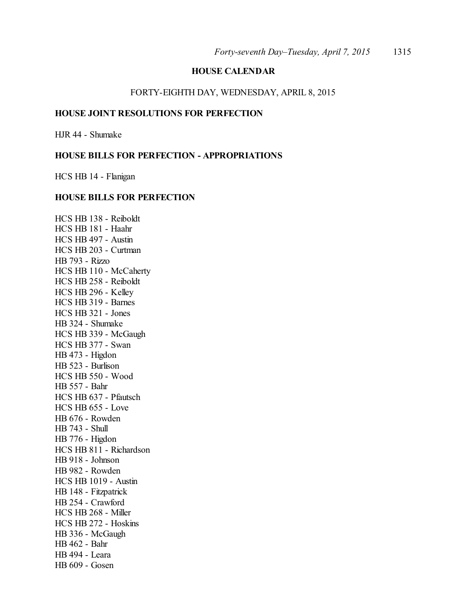# **HOUSE CALENDAR**

# FORTY-EIGHTH DAY, WEDNESDAY, APRIL 8, 2015

# **HOUSE JOINT RESOLUTIONS FOR PERFECTION**

HJR 44 - Shumake

# **HOUSE BILLS FOR PERFECTION - APPROPRIATIONS**

HCS HB 14 - Flanigan

# **HOUSE BILLS FOR PERFECTION**

HCS HB 138 - Reiboldt HCS HB 181 - Haahr HCS HB 497 - Austin HCS HB 203 - Curtman HB 793 - Rizzo HCS HB 110 - McCaherty HCS HB 258 - Reiboldt HCS HB 296 - Kelley HCS HB 319 - Barnes HCS HB 321 - Jones HB 324 - Shumake HCS HB 339 - McGaugh HCS HB 377 - Swan HB 473 - Higdon HB 523 - Burlison HCS HB 550 - Wood HB 557 - Bahr HCS HB 637 - Pfautsch HCS HB 655 - Love HB 676 - Rowden HB 743 - Shull HB 776 - Higdon HCS HB 811 - Richardson HB 918 - Johnson HB 982 - Rowden HCS HB 1019 - Austin HB 148 - Fitzpatrick HB 254 - Crawford HCS HB 268 - Miller HCS HB 272 - Hoskins HB 336 - McGaugh HB 462 - Bahr HB 494 - Leara HB 609 - Gosen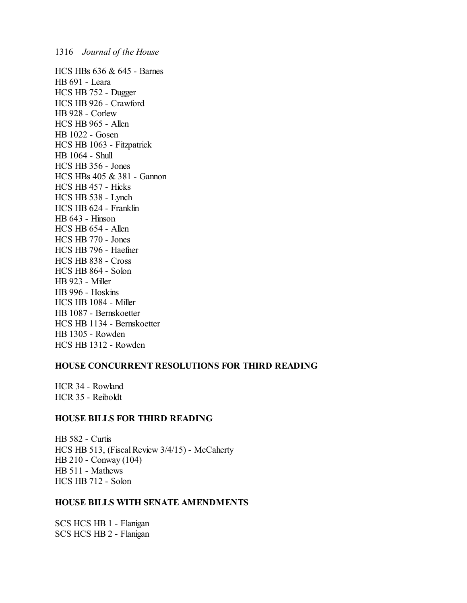HCS HBs 636 & 645 - Barnes HB 691 - Leara HCS HB 752 - Dugger HCS HB 926 - Crawford HB 928 - Corlew HCS HB 965 - Allen HB 1022 - Gosen HCS HB 1063 - Fitzpatrick HB 1064 - Shull HCS HB 356 - Jones HCS HBs 405 & 381 - Gannon HCS HB 457 - Hicks HCS HB 538 - Lynch HCS HB 624 - Franklin HB 643 - Hinson HCS HB 654 - Allen HCS HB 770 - Jones HCS HB 796 - Haefner HCS HB 838 - Cross HCS HB 864 - Solon HB 923 - Miller HB 996 - Hoskins HCS HB 1084 - Miller HB 1087 - Bernskoetter HCS HB 1134 - Bernskoetter HB 1305 - Rowden HCS HB 1312 - Rowden

#### **HOUSE CONCURRENT RESOLUTIONS FOR THIRD READING**

HCR 34 - Rowland HCR 35 - Reiboldt

### **HOUSE BILLS FOR THIRD READING**

HB 582 - Curtis HCS HB 513, (Fiscal Review 3/4/15) - McCaherty HB 210 - Conway (104) HB 511 - Mathews HCS HB 712 - Solon

# **HOUSE BILLS WITH SENATE AMENDMENTS**

SCS HCS HB 1 - Flanigan SCS HCS HB 2 - Flanigan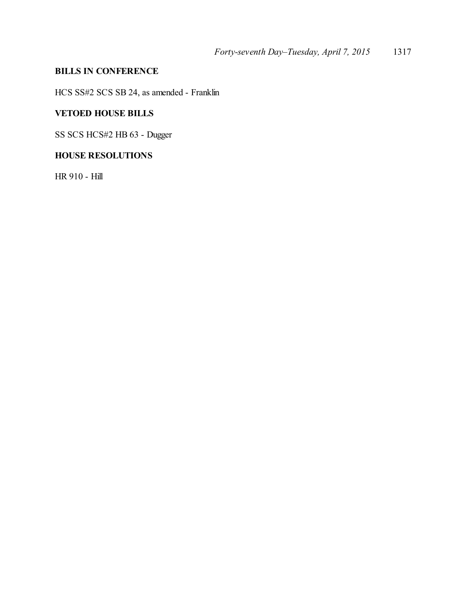# **BILLS IN CONFERENCE**

HCS SS#2 SCS SB 24, as amended - Franklin

# **VETOED HOUSE BILLS**

SS SCS HCS#2 HB 63 - Dugger

# **HOUSE RESOLUTIONS**

HR 910 - Hill